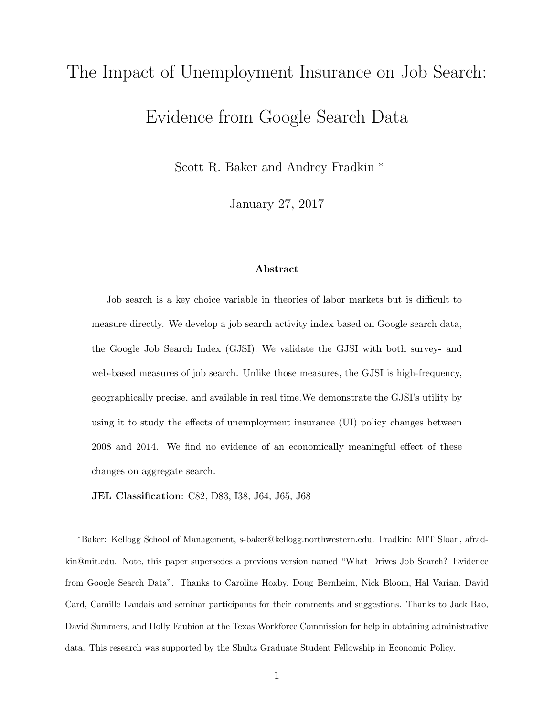# <span id="page-0-0"></span>The Impact of Unemployment Insurance on Job Search: Evidence from Google Search Data

Scott R. Baker and Andrey Fradkin <sup>∗</sup>

January 27, 2017

#### Abstract

Job search is a key choice variable in theories of labor markets but is difficult to measure directly. We develop a job search activity index based on Google search data, the Google Job Search Index (GJSI). We validate the GJSI with both survey- and web-based measures of job search. Unlike those measures, the GJSI is high-frequency, geographically precise, and available in real time.We demonstrate the GJSI's utility by using it to study the effects of unemployment insurance (UI) policy changes between 2008 and 2014. We find no evidence of an economically meaningful effect of these changes on aggregate search.

JEL Classification: C82, D83, I38, J64, J65, J68

<sup>∗</sup>Baker: Kellogg School of Management, s-baker@kellogg.northwestern.edu. Fradkin: MIT Sloan, afradkin@mit.edu. Note, this paper supersedes a previous version named "What Drives Job Search? Evidence from Google Search Data". Thanks to Caroline Hoxby, Doug Bernheim, Nick Bloom, Hal Varian, David Card, Camille Landais and seminar participants for their comments and suggestions. Thanks to Jack Bao, David Summers, and Holly Faubion at the Texas Workforce Commission for help in obtaining administrative data. This research was supported by the Shultz Graduate Student Fellowship in Economic Policy.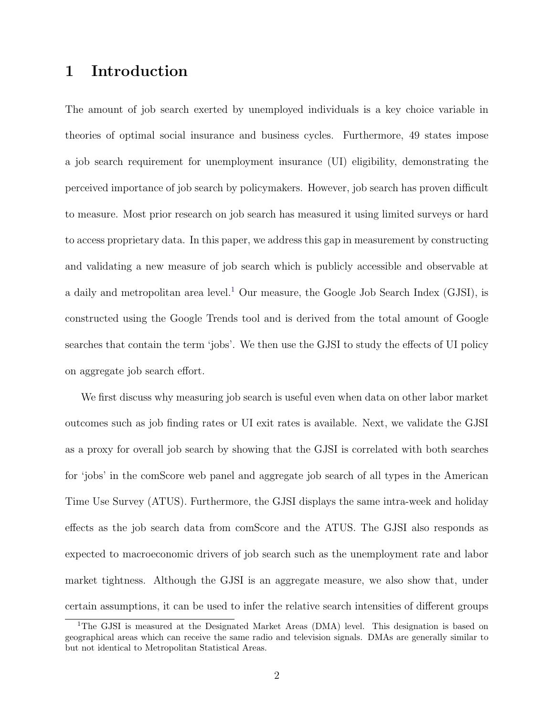## 1 Introduction

The amount of job search exerted by unemployed individuals is a key choice variable in theories of optimal social insurance and business cycles. Furthermore, 49 states impose a job search requirement for unemployment insurance (UI) eligibility, demonstrating the perceived importance of job search by policymakers. However, job search has proven difficult to measure. Most prior research on job search has measured it using limited surveys or hard to access proprietary data. In this paper, we address this gap in measurement by constructing and validating a new measure of job search which is publicly accessible and observable at a daily and metropolitan area level.<sup>[1](#page-0-0)</sup> Our measure, the Google Job Search Index (GJSI), is constructed using the Google Trends tool and is derived from the total amount of Google searches that contain the term 'jobs'. We then use the GJSI to study the effects of UI policy on aggregate job search effort.

We first discuss why measuring job search is useful even when data on other labor market outcomes such as job finding rates or UI exit rates is available. Next, we validate the GJSI as a proxy for overall job search by showing that the GJSI is correlated with both searches for 'jobs' in the comScore web panel and aggregate job search of all types in the American Time Use Survey (ATUS). Furthermore, the GJSI displays the same intra-week and holiday effects as the job search data from comScore and the ATUS. The GJSI also responds as expected to macroeconomic drivers of job search such as the unemployment rate and labor market tightness. Although the GJSI is an aggregate measure, we also show that, under certain assumptions, it can be used to infer the relative search intensities of different groups

<sup>&</sup>lt;sup>1</sup>The GJSI is measured at the Designated Market Areas (DMA) level. This designation is based on geographical areas which can receive the same radio and television signals. DMAs are generally similar to but not identical to Metropolitan Statistical Areas.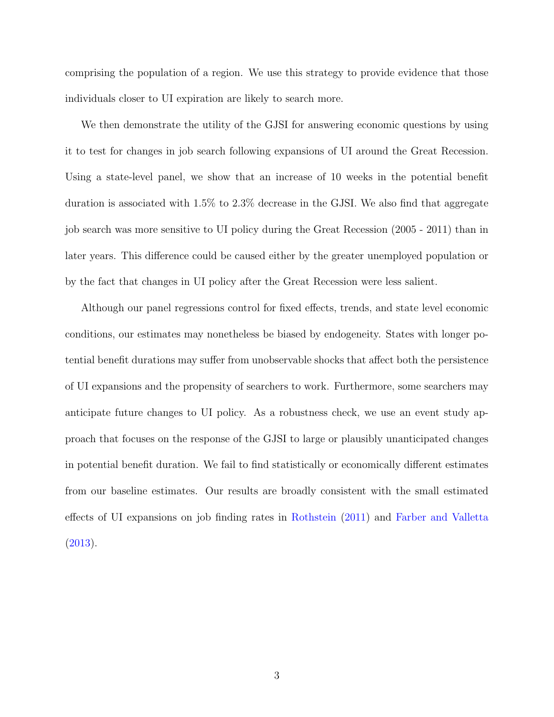comprising the population of a region. We use this strategy to provide evidence that those individuals closer to UI expiration are likely to search more.

We then demonstrate the utility of the GJSI for answering economic questions by using it to test for changes in job search following expansions of UI around the Great Recession. Using a state-level panel, we show that an increase of 10 weeks in the potential benefit duration is associated with 1.5% to 2.3% decrease in the GJSI. We also find that aggregate job search was more sensitive to UI policy during the Great Recession (2005 - 2011) than in later years. This difference could be caused either by the greater unemployed population or by the fact that changes in UI policy after the Great Recession were less salient.

Although our panel regressions control for fixed effects, trends, and state level economic conditions, our estimates may nonetheless be biased by endogeneity. States with longer potential benefit durations may suffer from unobservable shocks that affect both the persistence of UI expansions and the propensity of searchers to work. Furthermore, some searchers may anticipate future changes to UI policy. As a robustness check, we use an event study approach that focuses on the response of the GJSI to large or plausibly unanticipated changes in potential benefit duration. We fail to find statistically or economically different estimates from our baseline estimates. Our results are broadly consistent with the small estimated effects of UI expansions on job finding rates in [Rothstein](#page-29-0) [\(2011\)](#page-29-0) and [Farber and Valletta](#page-27-0) [\(2013\)](#page-27-0).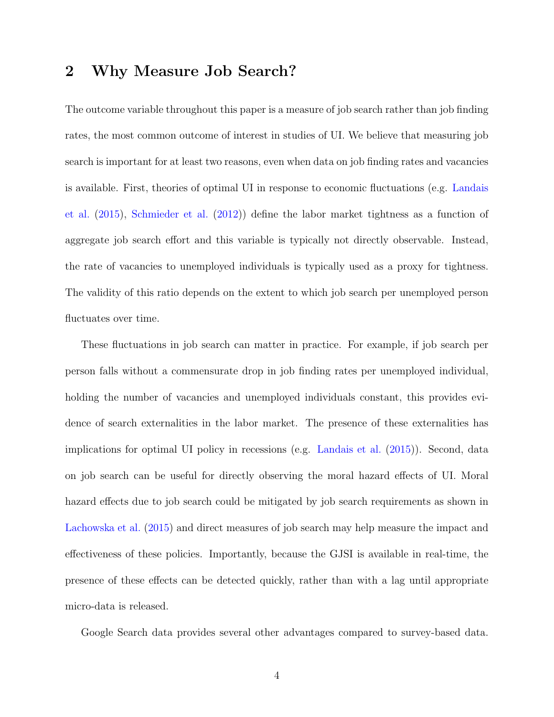## 2 Why Measure Job Search?

The outcome variable throughout this paper is a measure of job search rather than job finding rates, the most common outcome of interest in studies of UI. We believe that measuring job search is important for at least two reasons, even when data on job finding rates and vacancies is available. First, theories of optimal UI in response to economic fluctuations (e.g. [Landais](#page-28-0) [et al.](#page-28-0) [\(2015\)](#page-28-0), [Schmieder et al.](#page-29-1) [\(2012\)](#page-29-1)) define the labor market tightness as a function of aggregate job search effort and this variable is typically not directly observable. Instead, the rate of vacancies to unemployed individuals is typically used as a proxy for tightness. The validity of this ratio depends on the extent to which job search per unemployed person fluctuates over time.

These fluctuations in job search can matter in practice. For example, if job search per person falls without a commensurate drop in job finding rates per unemployed individual, holding the number of vacancies and unemployed individuals constant, this provides evidence of search externalities in the labor market. The presence of these externalities has implications for optimal UI policy in recessions (e.g. [Landais et al.](#page-28-0) [\(2015\)](#page-28-0)). Second, data on job search can be useful for directly observing the moral hazard effects of UI. Moral hazard effects due to job search could be mitigated by job search requirements as shown in [Lachowska et al.](#page-28-1) [\(2015\)](#page-28-1) and direct measures of job search may help measure the impact and effectiveness of these policies. Importantly, because the GJSI is available in real-time, the presence of these effects can be detected quickly, rather than with a lag until appropriate micro-data is released.

Google Search data provides several other advantages compared to survey-based data.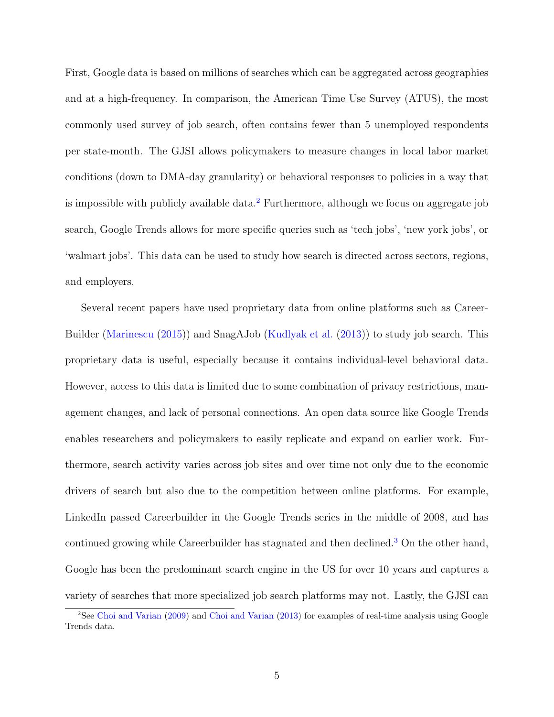First, Google data is based on millions of searches which can be aggregated across geographies and at a high-frequency. In comparison, the American Time Use Survey (ATUS), the most commonly used survey of job search, often contains fewer than 5 unemployed respondents per state-month. The GJSI allows policymakers to measure changes in local labor market conditions (down to DMA-day granularity) or behavioral responses to policies in a way that is impossible with publicly available data.<sup>[2](#page-0-0)</sup> Furthermore, although we focus on aggregate job search, Google Trends allows for more specific queries such as 'tech jobs', 'new york jobs', or 'walmart jobs'. This data can be used to study how search is directed across sectors, regions, and employers.

Several recent papers have used proprietary data from online platforms such as Career-Builder [\(Marinescu](#page-28-2) [\(2015\)](#page-28-2)) and SnagAJob [\(Kudlyak et al.](#page-28-3) [\(2013\)](#page-28-3)) to study job search. This proprietary data is useful, especially because it contains individual-level behavioral data. However, access to this data is limited due to some combination of privacy restrictions, management changes, and lack of personal connections. An open data source like Google Trends enables researchers and policymakers to easily replicate and expand on earlier work. Furthermore, search activity varies across job sites and over time not only due to the economic drivers of search but also due to the competition between online platforms. For example, LinkedIn passed Careerbuilder in the Google Trends series in the middle of 2008, and has continued growing while Careerbuilder has stagnated and then declined.[3](#page-0-0) On the other hand, Google has been the predominant search engine in the US for over 10 years and captures a variety of searches that more specialized job search platforms may not. Lastly, the GJSI can

<sup>&</sup>lt;sup>2</sup>See [Choi and Varian](#page-27-2) [\(2009\)](#page-27-1) and Choi and Varian [\(2013\)](#page-27-2) for examples of real-time analysis using Google Trends data.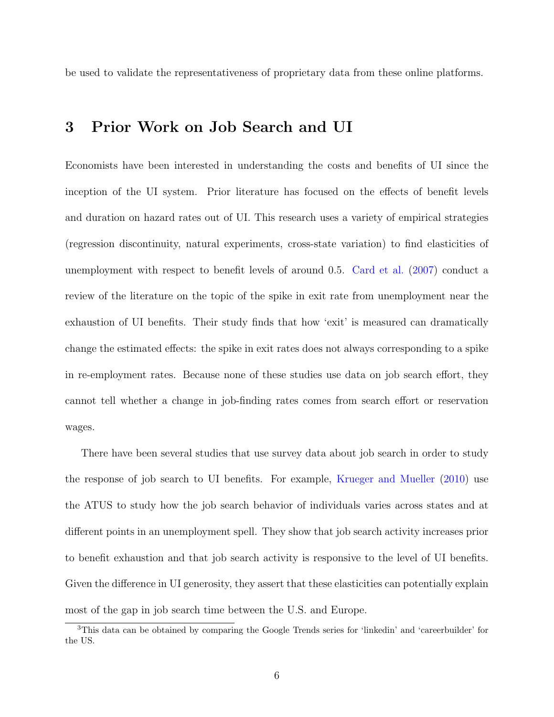be used to validate the representativeness of proprietary data from these online platforms.

## 3 Prior Work on Job Search and UI

Economists have been interested in understanding the costs and benefits of UI since the inception of the UI system. Prior literature has focused on the effects of benefit levels and duration on hazard rates out of UI. This research uses a variety of empirical strategies (regression discontinuity, natural experiments, cross-state variation) to find elasticities of unemployment with respect to benefit levels of around 0.5. [Card et al.](#page-27-3) [\(2007\)](#page-27-3) conduct a review of the literature on the topic of the spike in exit rate from unemployment near the exhaustion of UI benefits. Their study finds that how 'exit' is measured can dramatically change the estimated effects: the spike in exit rates does not always corresponding to a spike in re-employment rates. Because none of these studies use data on job search effort, they cannot tell whether a change in job-finding rates comes from search effort or reservation wages.

There have been several studies that use survey data about job search in order to study the response of job search to UI benefits. For example, [Krueger and Mueller](#page-28-4) [\(2010\)](#page-28-4) use the ATUS to study how the job search behavior of individuals varies across states and at different points in an unemployment spell. They show that job search activity increases prior to benefit exhaustion and that job search activity is responsive to the level of UI benefits. Given the difference in UI generosity, they assert that these elasticities can potentially explain most of the gap in job search time between the U.S. and Europe.

<sup>3</sup>This data can be obtained by comparing the Google Trends series for 'linkedin' and 'careerbuilder' for the US.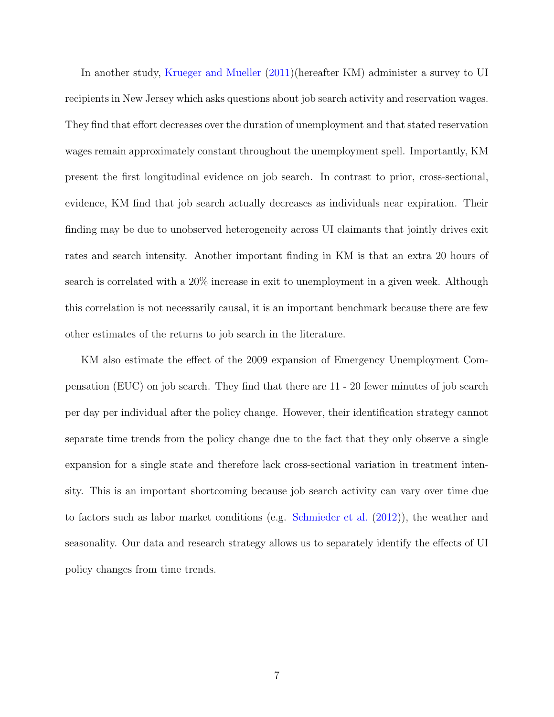In another study, [Krueger and Mueller](#page-28-5) [\(2011\)](#page-28-5)(hereafter KM) administer a survey to UI recipients in New Jersey which asks questions about job search activity and reservation wages. They find that effort decreases over the duration of unemployment and that stated reservation wages remain approximately constant throughout the unemployment spell. Importantly, KM present the first longitudinal evidence on job search. In contrast to prior, cross-sectional, evidence, KM find that job search actually decreases as individuals near expiration. Their finding may be due to unobserved heterogeneity across UI claimants that jointly drives exit rates and search intensity. Another important finding in KM is that an extra 20 hours of search is correlated with a 20% increase in exit to unemployment in a given week. Although this correlation is not necessarily causal, it is an important benchmark because there are few other estimates of the returns to job search in the literature.

KM also estimate the effect of the 2009 expansion of Emergency Unemployment Compensation (EUC) on job search. They find that there are 11 - 20 fewer minutes of job search per day per individual after the policy change. However, their identification strategy cannot separate time trends from the policy change due to the fact that they only observe a single expansion for a single state and therefore lack cross-sectional variation in treatment intensity. This is an important shortcoming because job search activity can vary over time due to factors such as labor market conditions (e.g. [Schmieder et al.](#page-29-1) [\(2012\)](#page-29-1)), the weather and seasonality. Our data and research strategy allows us to separately identify the effects of UI policy changes from time trends.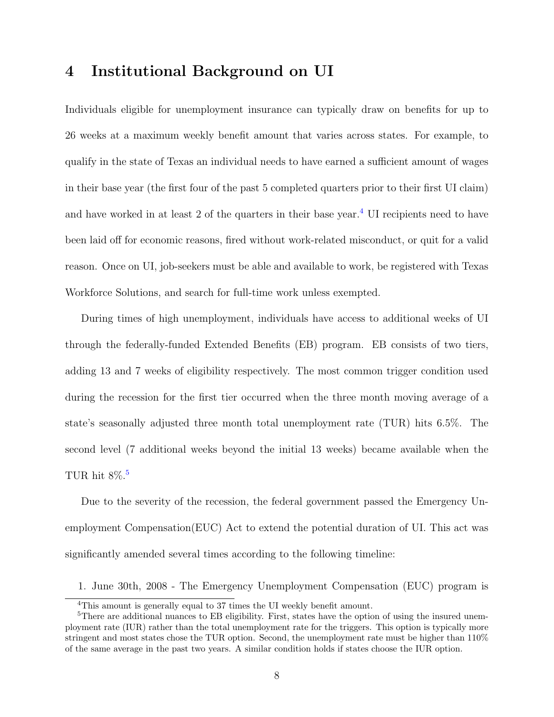## 4 Institutional Background on UI

Individuals eligible for unemployment insurance can typically draw on benefits for up to 26 weeks at a maximum weekly benefit amount that varies across states. For example, to qualify in the state of Texas an individual needs to have earned a sufficient amount of wages in their base year (the first four of the past 5 completed quarters prior to their first UI claim) and have worked in at least 2 of the quarters in their base year.<sup>[4](#page-0-0)</sup> UI recipients need to have been laid off for economic reasons, fired without work-related misconduct, or quit for a valid reason. Once on UI, job-seekers must be able and available to work, be registered with Texas Workforce Solutions, and search for full-time work unless exempted.

During times of high unemployment, individuals have access to additional weeks of UI through the federally-funded Extended Benefits (EB) program. EB consists of two tiers, adding 13 and 7 weeks of eligibility respectively. The most common trigger condition used during the recession for the first tier occurred when the three month moving average of a state's seasonally adjusted three month total unemployment rate (TUR) hits 6.5%. The second level (7 additional weeks beyond the initial 13 weeks) became available when the TUR hit 8%.[5](#page-0-0)

Due to the severity of the recession, the federal government passed the Emergency Unemployment Compensation(EUC) Act to extend the potential duration of UI. This act was significantly amended several times according to the following timeline:

1. June 30th, 2008 - The Emergency Unemployment Compensation (EUC) program is

<sup>4</sup>This amount is generally equal to 37 times the UI weekly benefit amount.

<sup>&</sup>lt;sup>5</sup>There are additional nuances to EB eligibility. First, states have the option of using the insured unemployment rate (IUR) rather than the total unemployment rate for the triggers. This option is typically more stringent and most states chose the TUR option. Second, the unemployment rate must be higher than 110% of the same average in the past two years. A similar condition holds if states choose the IUR option.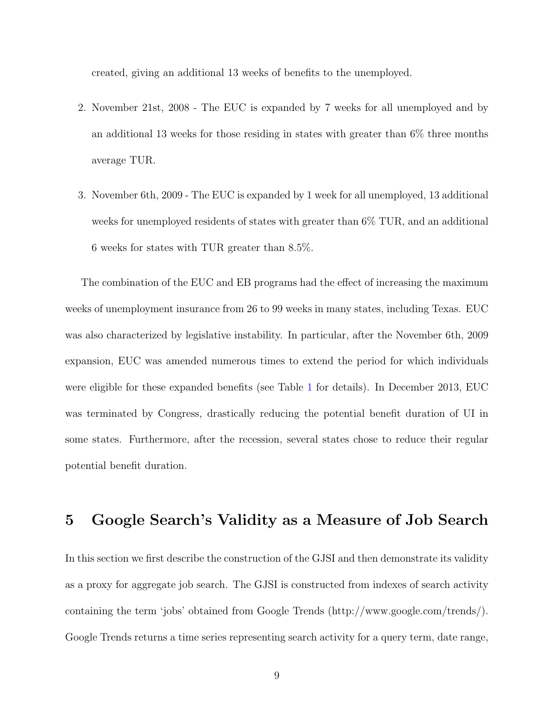created, giving an additional 13 weeks of benefits to the unemployed.

- 2. November 21st, 2008 The EUC is expanded by 7 weeks for all unemployed and by an additional 13 weeks for those residing in states with greater than 6% three months average TUR.
- 3. November 6th, 2009 The EUC is expanded by 1 week for all unemployed, 13 additional weeks for unemployed residents of states with greater than 6% TUR, and an additional 6 weeks for states with TUR greater than 8.5%.

The combination of the EUC and EB programs had the effect of increasing the maximum weeks of unemployment insurance from 26 to 99 weeks in many states, including Texas. EUC was also characterized by legislative instability. In particular, after the November 6th, 2009 expansion, EUC was amended numerous times to extend the period for which individuals were eligible for these expanded benefits (see Table [1](#page-34-0) for details). In December 2013, EUC was terminated by Congress, drastically reducing the potential benefit duration of UI in some states. Furthermore, after the recession, several states chose to reduce their regular potential benefit duration.

## 5 Google Search's Validity as a Measure of Job Search

In this section we first describe the construction of the GJSI and then demonstrate its validity as a proxy for aggregate job search. The GJSI is constructed from indexes of search activity containing the term 'jobs' obtained from Google Trends (http://www.google.com/trends/). Google Trends returns a time series representing search activity for a query term, date range,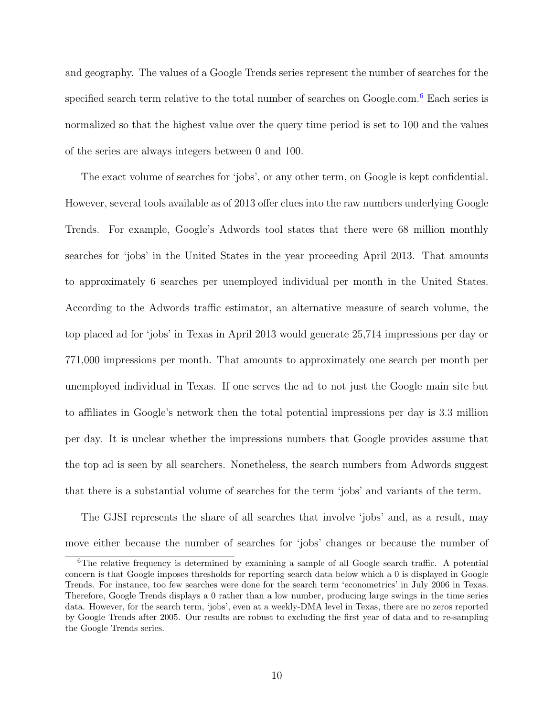and geography. The values of a Google Trends series represent the number of searches for the specified search term relative to the total number of searches on Google.com.<sup>[6](#page-0-0)</sup> Each series is normalized so that the highest value over the query time period is set to 100 and the values of the series are always integers between 0 and 100.

The exact volume of searches for 'jobs', or any other term, on Google is kept confidential. However, several tools available as of 2013 offer clues into the raw numbers underlying Google Trends. For example, Google's Adwords tool states that there were 68 million monthly searches for 'jobs' in the United States in the year proceeding April 2013. That amounts to approximately 6 searches per unemployed individual per month in the United States. According to the Adwords traffic estimator, an alternative measure of search volume, the top placed ad for 'jobs' in Texas in April 2013 would generate 25,714 impressions per day or 771,000 impressions per month. That amounts to approximately one search per month per unemployed individual in Texas. If one serves the ad to not just the Google main site but to affiliates in Google's network then the total potential impressions per day is 3.3 million per day. It is unclear whether the impressions numbers that Google provides assume that the top ad is seen by all searchers. Nonetheless, the search numbers from Adwords suggest that there is a substantial volume of searches for the term 'jobs' and variants of the term.

The GJSI represents the share of all searches that involve 'jobs' and, as a result, may move either because the number of searches for 'jobs' changes or because the number of

<sup>6</sup>The relative frequency is determined by examining a sample of all Google search traffic. A potential concern is that Google imposes thresholds for reporting search data below which a 0 is displayed in Google Trends. For instance, too few searches were done for the search term 'econometrics' in July 2006 in Texas. Therefore, Google Trends displays a 0 rather than a low number, producing large swings in the time series data. However, for the search term, 'jobs', even at a weekly-DMA level in Texas, there are no zeros reported by Google Trends after 2005. Our results are robust to excluding the first year of data and to re-sampling the Google Trends series.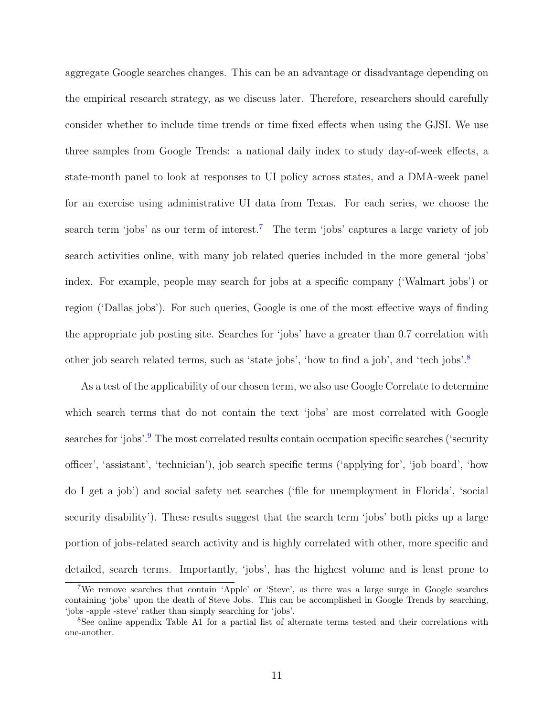aggregate Google searches changes. This can be an advantage or disadvantage depending on the empirical research strategy, as we discuss later. Therefore, researchers should carefully consider whether to include time trends or time fixed effects when using the GJSI. We use three samples from Google Trends: a national daily index to study day-of-week effects, a state-month panel to look at responses to UI policy across states, and a DMA-week panel for an exercise using administrative UI data from Texas. For each series, we choose the search term 'jobs' as our term of interest.<sup>[7](#page-0-0)</sup> The term 'jobs' captures a large variety of job search activities online, with many job related queries included in the more general 'jobs' index. For example, people may search for jobs at a specific company ('Walmart jobs') or region ('Dallas jobs'). For such queries, Google is one of the most effective ways of finding the appropriate job posting site. Searches for 'jobs' have a greater than 0.7 correlation with other job search related terms, such as 'state jobs', 'how to find a job', and 'tech jobs'.[8](#page-0-0)

As a test of the applicability of our chosen term, we also use Google Correlate to determine which search terms that do not contain the text 'jobs' are most correlated with Google searches for 'jobs'.<sup>[9](#page-0-0)</sup> The most correlated results contain occupation specific searches ('security officer', 'assistant', 'technician'), job search specific terms ('applying for', 'job board', 'how do I get a job') and social safety net searches ('file for unemployment in Florida', 'social security disability'). These results suggest that the search term 'jobs' both picks up a large portion of jobs-related search activity and is highly correlated with other, more specific and detailed, search terms. Importantly, 'jobs', has the highest volume and is least prone to

<sup>7</sup>We remove searches that contain 'Apple' or 'Steve', as there was a large surge in Google searches containing 'jobs' upon the death of Steve Jobs. This can be accomplished in Google Trends by searching, 'jobs -apple -steve' rather than simply searching for 'jobs'.

<sup>8</sup>See online appendix Table A1 for a partial list of alternate terms tested and their correlations with one-another.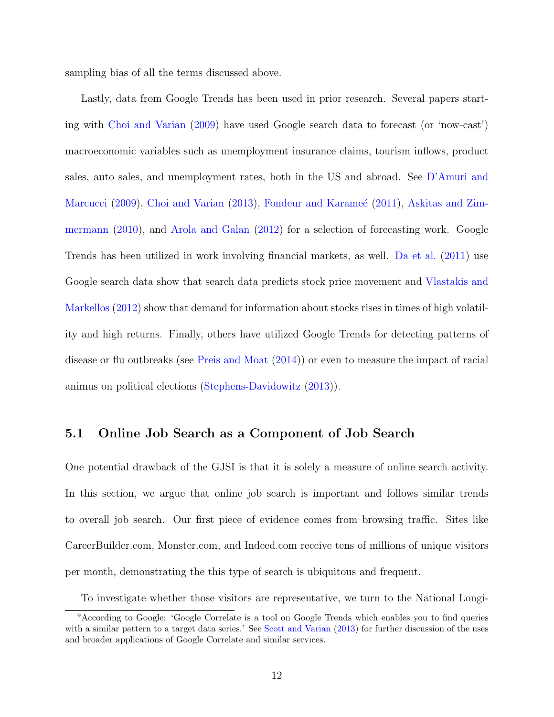sampling bias of all the terms discussed above.

Lastly, data from Google Trends has been used in prior research. Several papers starting with [Choi and Varian](#page-27-1) [\(2009\)](#page-27-1) have used Google search data to forecast (or 'now-cast') macroeconomic variables such as unemployment insurance claims, tourism inflows, product sales, auto sales, and unemployment rates, both in the US and abroad. See [D'Amuri and](#page-27-4) [Marcucci](#page-27-4) [\(2009\)](#page-27-4), [Choi and Varian](#page-27-2) [\(2013\)](#page-27-2), Fondeur and Karameé [\(2011\)](#page-27-5), [Askitas and Zim](#page-27-6)[mermann](#page-27-6) [\(2010\)](#page-27-6), and [Arola and Galan](#page-27-7) [\(2012\)](#page-27-7) for a selection of forecasting work. Google Trends has been utilized in work involving financial markets, as well. [Da et al.](#page-27-8) [\(2011\)](#page-27-8) use Google search data show that search data predicts stock price movement and [Vlastakis and](#page-29-2) [Markellos](#page-29-2) [\(2012\)](#page-29-2) show that demand for information about stocks rises in times of high volatility and high returns. Finally, others have utilized Google Trends for detecting patterns of disease or flu outbreaks (see [Preis and Moat](#page-29-3) [\(2014\)](#page-29-3)) or even to measure the impact of racial animus on political elections [\(Stephens-Davidowitz](#page-29-4) [\(2013\)](#page-29-4)).

### 5.1 Online Job Search as a Component of Job Search

One potential drawback of the GJSI is that it is solely a measure of online search activity. In this section, we argue that online job search is important and follows similar trends to overall job search. Our first piece of evidence comes from browsing traffic. Sites like CareerBuilder.com, Monster.com, and Indeed.com receive tens of millions of unique visitors per month, demonstrating the this type of search is ubiquitous and frequent.

To investigate whether those visitors are representative, we turn to the National Longi-

<sup>9</sup>According to Google: 'Google Correlate is a tool on Google Trends which enables you to find queries with a similar pattern to a target data series.' See [Scott and Varian](#page-29-5) [\(2013\)](#page-29-5) for further discussion of the uses and broader applications of Google Correlate and similar services.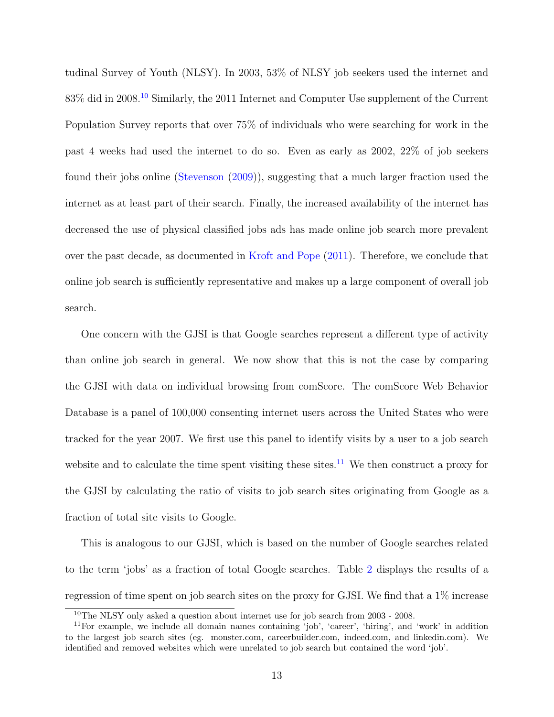tudinal Survey of Youth (NLSY). In 2003, 53% of NLSY job seekers used the internet and 83% did in 2008.<sup>[10](#page-0-0)</sup> Similarly, the 2011 Internet and Computer Use supplement of the Current Population Survey reports that over 75% of individuals who were searching for work in the past 4 weeks had used the internet to do so. Even as early as 2002, 22% of job seekers found their jobs online [\(Stevenson](#page-29-6) [\(2009\)](#page-29-6)), suggesting that a much larger fraction used the internet as at least part of their search. Finally, the increased availability of the internet has decreased the use of physical classified jobs ads has made online job search more prevalent over the past decade, as documented in [Kroft and Pope](#page-28-6) [\(2011\)](#page-28-6). Therefore, we conclude that online job search is sufficiently representative and makes up a large component of overall job search.

One concern with the GJSI is that Google searches represent a different type of activity than online job search in general. We now show that this is not the case by comparing the GJSI with data on individual browsing from comScore. The comScore Web Behavior Database is a panel of 100,000 consenting internet users across the United States who were tracked for the year 2007. We first use this panel to identify visits by a user to a job search website and to calculate the time spent visiting these sites.<sup>[11](#page-0-0)</sup> We then construct a proxy for the GJSI by calculating the ratio of visits to job search sites originating from Google as a fraction of total site visits to Google.

This is analogous to our GJSI, which is based on the number of Google searches related to the term 'jobs' as a fraction of total Google searches. Table [2](#page-35-0) displays the results of a regression of time spent on job search sites on the proxy for GJSI. We find that a 1% increase

 $10$ The NLSY only asked a question about internet use for job search from 2003 - 2008.

<sup>11</sup>For example, we include all domain names containing 'job', 'career', 'hiring', and 'work' in addition to the largest job search sites (eg. monster.com, careerbuilder.com, indeed.com, and linkedin.com). We identified and removed websites which were unrelated to job search but contained the word 'job'.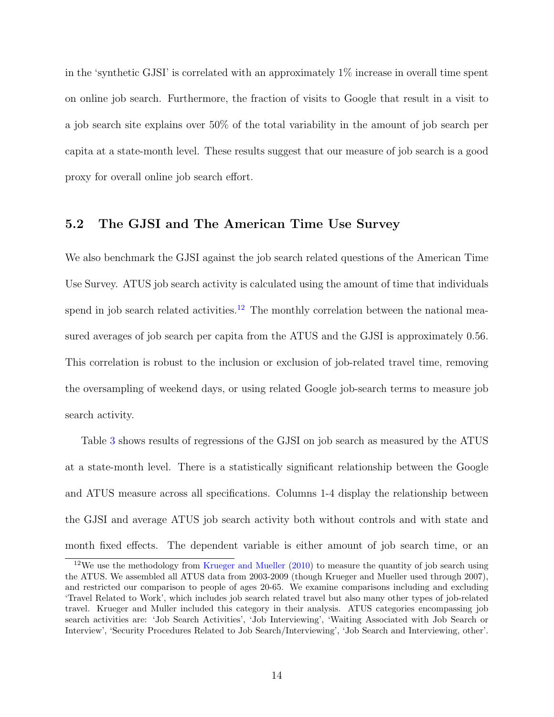in the 'synthetic GJSI' is correlated with an approximately 1% increase in overall time spent on online job search. Furthermore, the fraction of visits to Google that result in a visit to a job search site explains over 50% of the total variability in the amount of job search per capita at a state-month level. These results suggest that our measure of job search is a good proxy for overall online job search effort.

### 5.2 The GJSI and The American Time Use Survey

We also benchmark the GJSI against the job search related questions of the American Time Use Survey. ATUS job search activity is calculated using the amount of time that individuals spend in job search related activities.<sup>[12](#page-0-0)</sup> The monthly correlation between the national measured averages of job search per capita from the ATUS and the GJSI is approximately 0.56. This correlation is robust to the inclusion or exclusion of job-related travel time, removing the oversampling of weekend days, or using related Google job-search terms to measure job search activity.

Table [3](#page-36-0) shows results of regressions of the GJSI on job search as measured by the ATUS at a state-month level. There is a statistically significant relationship between the Google and ATUS measure across all specifications. Columns 1-4 display the relationship between the GJSI and average ATUS job search activity both without controls and with state and month fixed effects. The dependent variable is either amount of job search time, or an

 $12$ We use the methodology from [Krueger and Mueller](#page-28-4) [\(2010\)](#page-28-4) to measure the quantity of job search using the ATUS. We assembled all ATUS data from 2003-2009 (though Krueger and Mueller used through 2007), and restricted our comparison to people of ages 20-65. We examine comparisons including and excluding 'Travel Related to Work', which includes job search related travel but also many other types of job-related travel. Krueger and Muller included this category in their analysis. ATUS categories encompassing job search activities are: 'Job Search Activities', 'Job Interviewing', 'Waiting Associated with Job Search or Interview', 'Security Procedures Related to Job Search/Interviewing', 'Job Search and Interviewing, other'.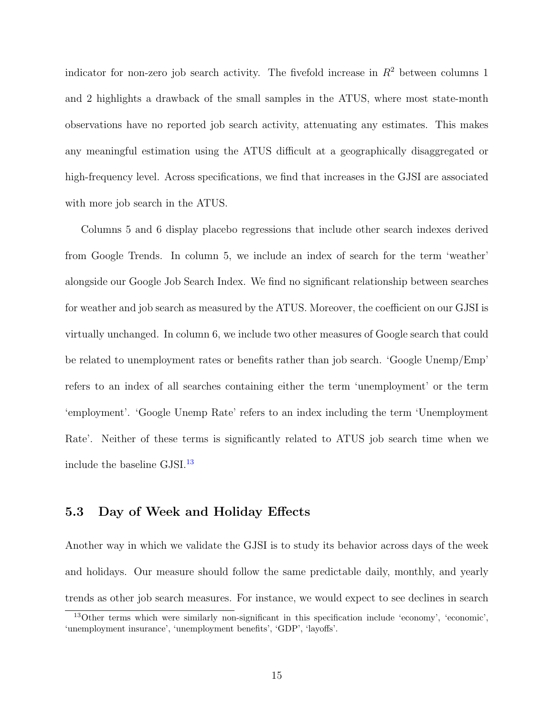indicator for non-zero job search activity. The fivefold increase in  $R^2$  between columns 1 and 2 highlights a drawback of the small samples in the ATUS, where most state-month observations have no reported job search activity, attenuating any estimates. This makes any meaningful estimation using the ATUS difficult at a geographically disaggregated or high-frequency level. Across specifications, we find that increases in the GJSI are associated with more job search in the ATUS.

Columns 5 and 6 display placebo regressions that include other search indexes derived from Google Trends. In column 5, we include an index of search for the term 'weather' alongside our Google Job Search Index. We find no significant relationship between searches for weather and job search as measured by the ATUS. Moreover, the coefficient on our GJSI is virtually unchanged. In column 6, we include two other measures of Google search that could be related to unemployment rates or benefits rather than job search. 'Google Unemp/Emp' refers to an index of all searches containing either the term 'unemployment' or the term 'employment'. 'Google Unemp Rate' refers to an index including the term 'Unemployment Rate'. Neither of these terms is significantly related to ATUS job search time when we include the baseline GJSI.[13](#page-0-0)

### 5.3 Day of Week and Holiday Effects

Another way in which we validate the GJSI is to study its behavior across days of the week and holidays. Our measure should follow the same predictable daily, monthly, and yearly trends as other job search measures. For instance, we would expect to see declines in search

<sup>13</sup>Other terms which were similarly non-significant in this specification include 'economy', 'economic', 'unemployment insurance', 'unemployment benefits', 'GDP', 'layoffs'.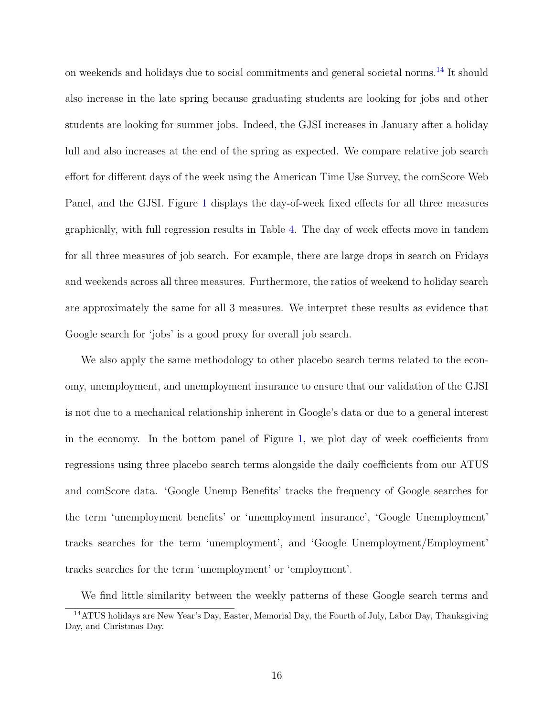on weekends and holidays due to social commitments and general societal norms.<sup>[14](#page-0-0)</sup> It should also increase in the late spring because graduating students are looking for jobs and other students are looking for summer jobs. Indeed, the GJSI increases in January after a holiday lull and also increases at the end of the spring as expected. We compare relative job search effort for different days of the week using the American Time Use Survey, the comScore Web Panel, and the GJSI. Figure [1](#page-30-0) displays the day-of-week fixed effects for all three measures graphically, with full regression results in Table [4.](#page-37-0) The day of week effects move in tandem for all three measures of job search. For example, there are large drops in search on Fridays and weekends across all three measures. Furthermore, the ratios of weekend to holiday search are approximately the same for all 3 measures. We interpret these results as evidence that Google search for 'jobs' is a good proxy for overall job search.

We also apply the same methodology to other placebo search terms related to the economy, unemployment, and unemployment insurance to ensure that our validation of the GJSI is not due to a mechanical relationship inherent in Google's data or due to a general interest in the economy. In the bottom panel of Figure [1,](#page-30-0) we plot day of week coefficients from regressions using three placebo search terms alongside the daily coefficients from our ATUS and comScore data. 'Google Unemp Benefits' tracks the frequency of Google searches for the term 'unemployment benefits' or 'unemployment insurance', 'Google Unemployment' tracks searches for the term 'unemployment', and 'Google Unemployment/Employment' tracks searches for the term 'unemployment' or 'employment'.

We find little similarity between the weekly patterns of these Google search terms and

<sup>14</sup>ATUS holidays are New Year's Day, Easter, Memorial Day, the Fourth of July, Labor Day, Thanksgiving Day, and Christmas Day.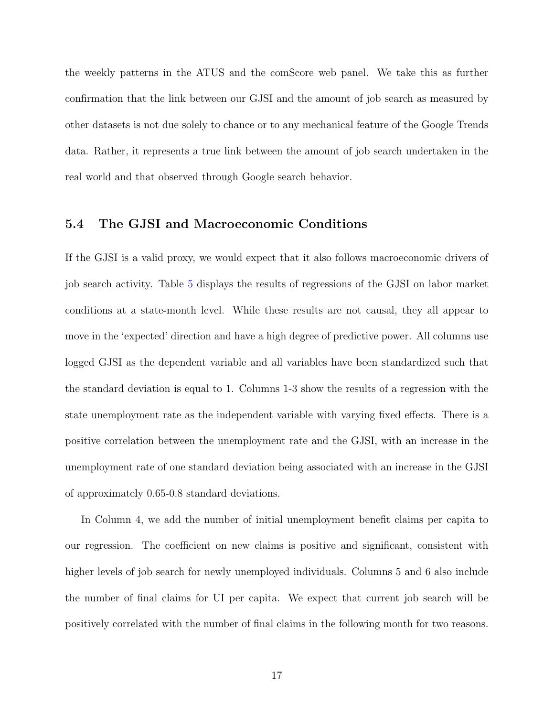the weekly patterns in the ATUS and the comScore web panel. We take this as further confirmation that the link between our GJSI and the amount of job search as measured by other datasets is not due solely to chance or to any mechanical feature of the Google Trends data. Rather, it represents a true link between the amount of job search undertaken in the real world and that observed through Google search behavior.

#### 5.4 The GJSI and Macroeconomic Conditions

If the GJSI is a valid proxy, we would expect that it also follows macroeconomic drivers of job search activity. Table [5](#page-38-0) displays the results of regressions of the GJSI on labor market conditions at a state-month level. While these results are not causal, they all appear to move in the 'expected' direction and have a high degree of predictive power. All columns use logged GJSI as the dependent variable and all variables have been standardized such that the standard deviation is equal to 1. Columns 1-3 show the results of a regression with the state unemployment rate as the independent variable with varying fixed effects. There is a positive correlation between the unemployment rate and the GJSI, with an increase in the unemployment rate of one standard deviation being associated with an increase in the GJSI of approximately 0.65-0.8 standard deviations.

In Column 4, we add the number of initial unemployment benefit claims per capita to our regression. The coefficient on new claims is positive and significant, consistent with higher levels of job search for newly unemployed individuals. Columns 5 and 6 also include the number of final claims for UI per capita. We expect that current job search will be positively correlated with the number of final claims in the following month for two reasons.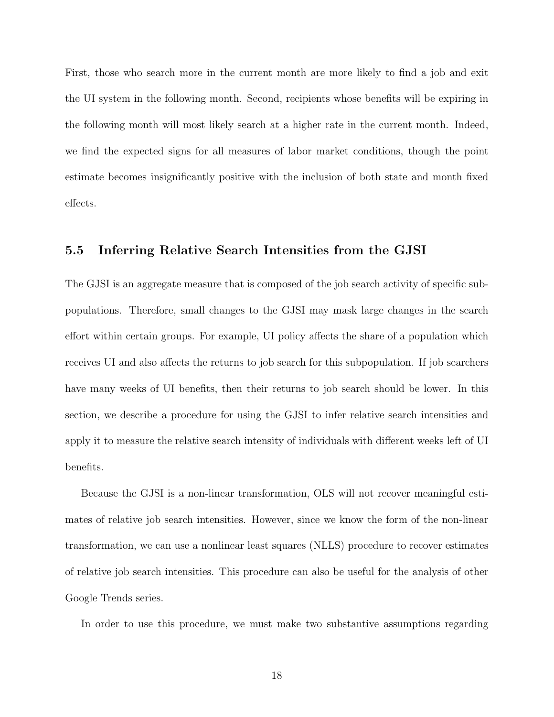First, those who search more in the current month are more likely to find a job and exit the UI system in the following month. Second, recipients whose benefits will be expiring in the following month will most likely search at a higher rate in the current month. Indeed, we find the expected signs for all measures of labor market conditions, though the point estimate becomes insignificantly positive with the inclusion of both state and month fixed effects.

#### 5.5 Inferring Relative Search Intensities from the GJSI

The GJSI is an aggregate measure that is composed of the job search activity of specific subpopulations. Therefore, small changes to the GJSI may mask large changes in the search effort within certain groups. For example, UI policy affects the share of a population which receives UI and also affects the returns to job search for this subpopulation. If job searchers have many weeks of UI benefits, then their returns to job search should be lower. In this section, we describe a procedure for using the GJSI to infer relative search intensities and apply it to measure the relative search intensity of individuals with different weeks left of UI benefits.

Because the GJSI is a non-linear transformation, OLS will not recover meaningful estimates of relative job search intensities. However, since we know the form of the non-linear transformation, we can use a nonlinear least squares (NLLS) procedure to recover estimates of relative job search intensities. This procedure can also be useful for the analysis of other Google Trends series.

In order to use this procedure, we must make two substantive assumptions regarding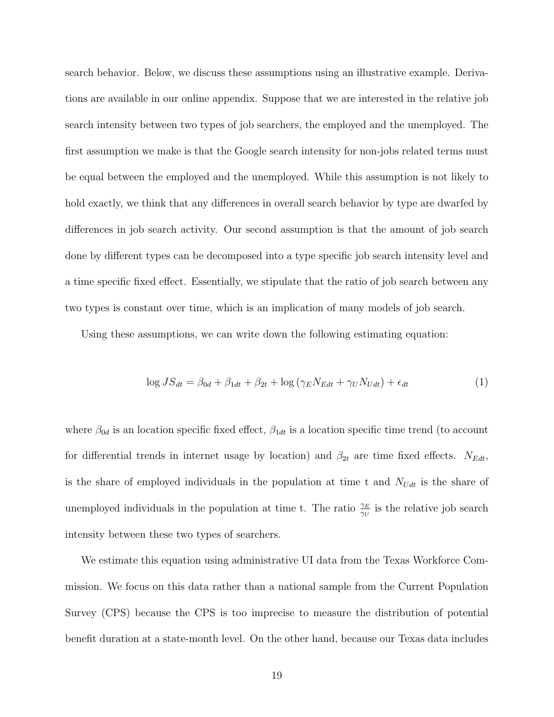search behavior. Below, we discuss these assumptions using an illustrative example. Derivations are available in our online appendix. Suppose that we are interested in the relative job search intensity between two types of job searchers, the employed and the unemployed. The first assumption we make is that the Google search intensity for non-jobs related terms must be equal between the employed and the unemployed. While this assumption is not likely to hold exactly, we think that any differences in overall search behavior by type are dwarfed by differences in job search activity. Our second assumption is that the amount of job search done by different types can be decomposed into a type specific job search intensity level and a time specific fixed effect. Essentially, we stipulate that the ratio of job search between any two types is constant over time, which is an implication of many models of job search.

Using these assumptions, we can write down the following estimating equation:

<span id="page-18-0"></span>
$$
\log JS_{dt} = \beta_{0d} + \beta_{1dt} + \beta_{2t} + \log (\gamma_E N_{Edt} + \gamma_U N_{Udt}) + \epsilon_{dt}
$$
\n(1)

where  $\beta_{0d}$  is an location specific fixed effect,  $\beta_{1dt}$  is a location specific time trend (to account for differential trends in internet usage by location) and  $\beta_{2t}$  are time fixed effects.  $N_{Edt}$ , is the share of employed individuals in the population at time t and  $N_{Udt}$  is the share of unemployed individuals in the population at time t. The ratio  $\frac{\gamma_E}{\gamma_U}$  is the relative job search intensity between these two types of searchers.

We estimate this equation using administrative UI data from the Texas Workforce Commission. We focus on this data rather than a national sample from the Current Population Survey (CPS) because the CPS is too imprecise to measure the distribution of potential benefit duration at a state-month level. On the other hand, because our Texas data includes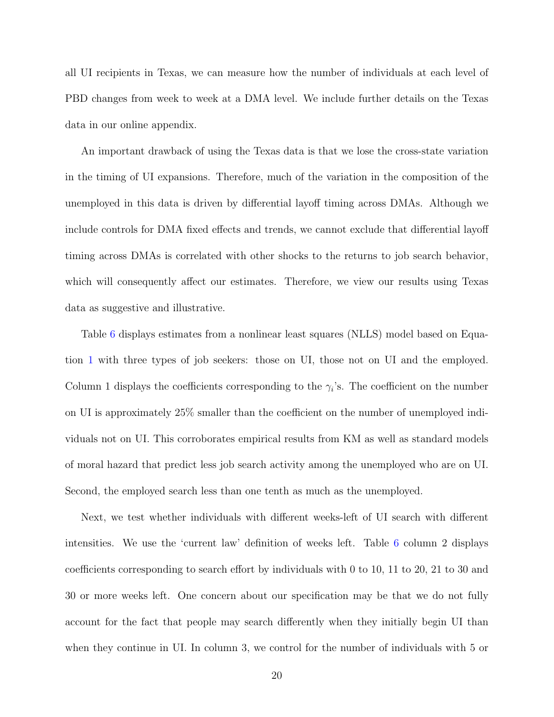all UI recipients in Texas, we can measure how the number of individuals at each level of PBD changes from week to week at a DMA level. We include further details on the Texas data in our online appendix.

An important drawback of using the Texas data is that we lose the cross-state variation in the timing of UI expansions. Therefore, much of the variation in the composition of the unemployed in this data is driven by differential layoff timing across DMAs. Although we include controls for DMA fixed effects and trends, we cannot exclude that differential layoff timing across DMAs is correlated with other shocks to the returns to job search behavior, which will consequently affect our estimates. Therefore, we view our results using Texas data as suggestive and illustrative.

Table [6](#page-39-0) displays estimates from a nonlinear least squares (NLLS) model based on Equation [1](#page-18-0) with three types of job seekers: those on UI, those not on UI and the employed. Column 1 displays the coefficients corresponding to the  $\gamma_i$ 's. The coefficient on the number on UI is approximately 25% smaller than the coefficient on the number of unemployed individuals not on UI. This corroborates empirical results from KM as well as standard models of moral hazard that predict less job search activity among the unemployed who are on UI. Second, the employed search less than one tenth as much as the unemployed.

Next, we test whether individuals with different weeks-left of UI search with different intensities. We use the 'current law' definition of weeks left. Table [6](#page-39-0) column 2 displays coefficients corresponding to search effort by individuals with 0 to 10, 11 to 20, 21 to 30 and 30 or more weeks left. One concern about our specification may be that we do not fully account for the fact that people may search differently when they initially begin UI than when they continue in UI. In column 3, we control for the number of individuals with 5 or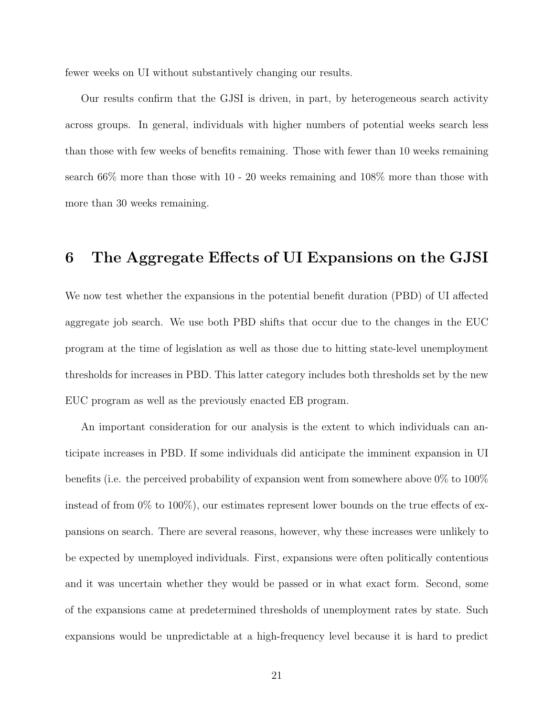fewer weeks on UI without substantively changing our results.

Our results confirm that the GJSI is driven, in part, by heterogeneous search activity across groups. In general, individuals with higher numbers of potential weeks search less than those with few weeks of benefits remaining. Those with fewer than 10 weeks remaining search 66% more than those with 10 - 20 weeks remaining and 108% more than those with more than 30 weeks remaining.

## 6 The Aggregate Effects of UI Expansions on the GJSI

We now test whether the expansions in the potential benefit duration (PBD) of UI affected aggregate job search. We use both PBD shifts that occur due to the changes in the EUC program at the time of legislation as well as those due to hitting state-level unemployment thresholds for increases in PBD. This latter category includes both thresholds set by the new EUC program as well as the previously enacted EB program.

An important consideration for our analysis is the extent to which individuals can anticipate increases in PBD. If some individuals did anticipate the imminent expansion in UI benefits (i.e. the perceived probability of expansion went from somewhere above 0% to 100% instead of from 0% to 100%), our estimates represent lower bounds on the true effects of expansions on search. There are several reasons, however, why these increases were unlikely to be expected by unemployed individuals. First, expansions were often politically contentious and it was uncertain whether they would be passed or in what exact form. Second, some of the expansions came at predetermined thresholds of unemployment rates by state. Such expansions would be unpredictable at a high-frequency level because it is hard to predict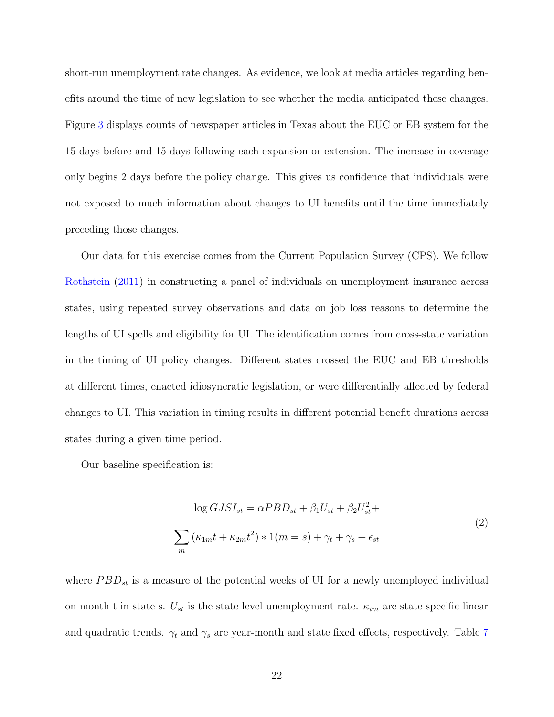short-run unemployment rate changes. As evidence, we look at media articles regarding benefits around the time of new legislation to see whether the media anticipated these changes. Figure [3](#page-32-0) displays counts of newspaper articles in Texas about the EUC or EB system for the 15 days before and 15 days following each expansion or extension. The increase in coverage only begins 2 days before the policy change. This gives us confidence that individuals were not exposed to much information about changes to UI benefits until the time immediately preceding those changes.

Our data for this exercise comes from the Current Population Survey (CPS). We follow [Rothstein](#page-29-0) [\(2011\)](#page-29-0) in constructing a panel of individuals on unemployment insurance across states, using repeated survey observations and data on job loss reasons to determine the lengths of UI spells and eligibility for UI. The identification comes from cross-state variation in the timing of UI policy changes. Different states crossed the EUC and EB thresholds at different times, enacted idiosyncratic legislation, or were differentially affected by federal changes to UI. This variation in timing results in different potential benefit durations across states during a given time period.

<span id="page-21-0"></span>Our baseline specification is:

$$
\log GJSI_{st} = \alpha PBD_{st} + \beta_1 U_{st} + \beta_2 U_{st}^2 +
$$
  

$$
\sum_{m} (\kappa_{1m}t + \kappa_{2m}t^2) * 1(m = s) + \gamma_t + \gamma_s + \epsilon_{st}
$$
 (2)

where  $PBD_{st}$  is a measure of the potential weeks of UI for a newly unemployed individual on month t in state s.  $U_{st}$  is the state level unemployment rate.  $\kappa_{im}$  are state specific linear and quadratic trends.  $\gamma_t$  and  $\gamma_s$  are year-month and state fixed effects, respectively. Table [7](#page-40-0)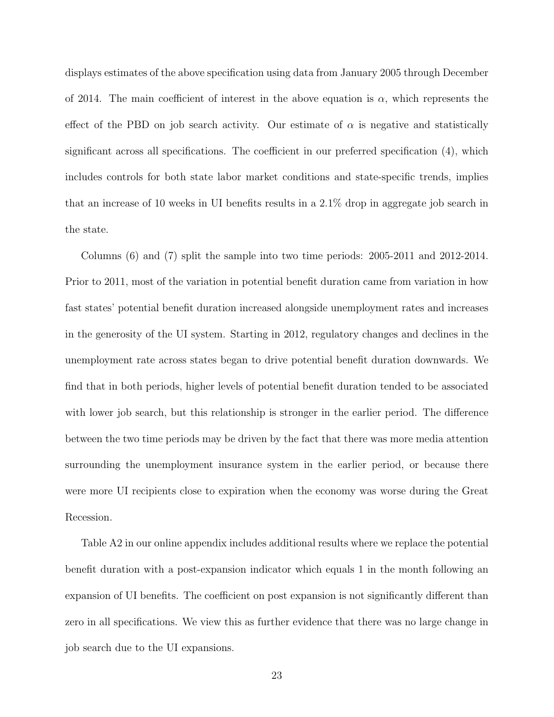displays estimates of the above specification using data from January 2005 through December of 2014. The main coefficient of interest in the above equation is  $\alpha$ , which represents the effect of the PBD on job search activity. Our estimate of  $\alpha$  is negative and statistically significant across all specifications. The coefficient in our preferred specification (4), which includes controls for both state labor market conditions and state-specific trends, implies that an increase of 10 weeks in UI benefits results in a 2.1% drop in aggregate job search in the state.

Columns (6) and (7) split the sample into two time periods: 2005-2011 and 2012-2014. Prior to 2011, most of the variation in potential benefit duration came from variation in how fast states' potential benefit duration increased alongside unemployment rates and increases in the generosity of the UI system. Starting in 2012, regulatory changes and declines in the unemployment rate across states began to drive potential benefit duration downwards. We find that in both periods, higher levels of potential benefit duration tended to be associated with lower job search, but this relationship is stronger in the earlier period. The difference between the two time periods may be driven by the fact that there was more media attention surrounding the unemployment insurance system in the earlier period, or because there were more UI recipients close to expiration when the economy was worse during the Great Recession.

Table A2 in our online appendix includes additional results where we replace the potential benefit duration with a post-expansion indicator which equals 1 in the month following an expansion of UI benefits. The coefficient on post expansion is not significantly different than zero in all specifications. We view this as further evidence that there was no large change in job search due to the UI expansions.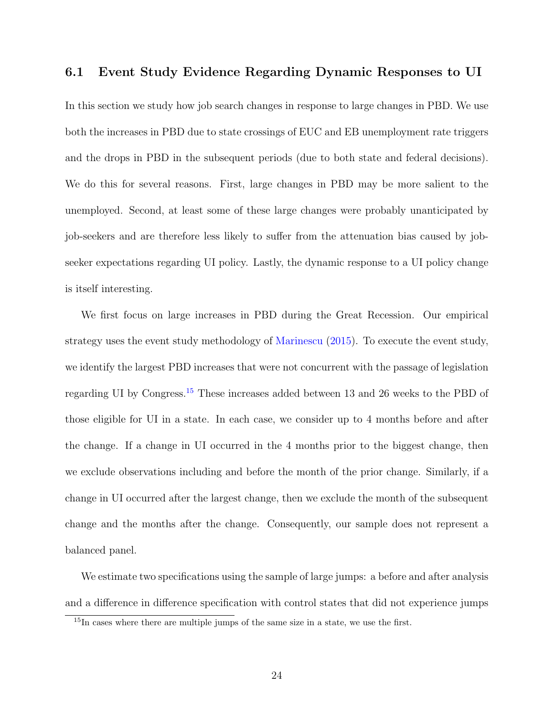#### 6.1 Event Study Evidence Regarding Dynamic Responses to UI

In this section we study how job search changes in response to large changes in PBD. We use both the increases in PBD due to state crossings of EUC and EB unemployment rate triggers and the drops in PBD in the subsequent periods (due to both state and federal decisions). We do this for several reasons. First, large changes in PBD may be more salient to the unemployed. Second, at least some of these large changes were probably unanticipated by job-seekers and are therefore less likely to suffer from the attenuation bias caused by jobseeker expectations regarding UI policy. Lastly, the dynamic response to a UI policy change is itself interesting.

We first focus on large increases in PBD during the Great Recession. Our empirical strategy uses the event study methodology of [Marinescu](#page-28-2) [\(2015\)](#page-28-2). To execute the event study, we identify the largest PBD increases that were not concurrent with the passage of legislation regarding UI by Congress.[15](#page-0-0) These increases added between 13 and 26 weeks to the PBD of those eligible for UI in a state. In each case, we consider up to 4 months before and after the change. If a change in UI occurred in the 4 months prior to the biggest change, then we exclude observations including and before the month of the prior change. Similarly, if a change in UI occurred after the largest change, then we exclude the month of the subsequent change and the months after the change. Consequently, our sample does not represent a balanced panel.

We estimate two specifications using the sample of large jumps: a before and after analysis and a difference in difference specification with control states that did not experience jumps

<sup>&</sup>lt;sup>15</sup>In cases where there are multiple jumps of the same size in a state, we use the first.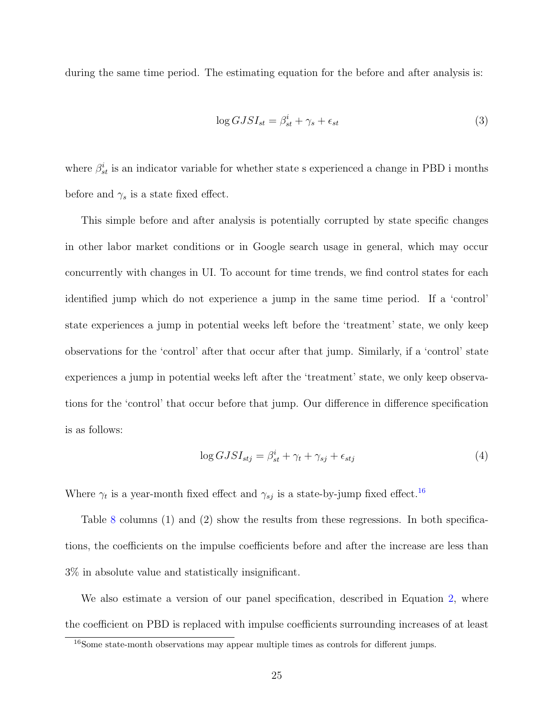during the same time period. The estimating equation for the before and after analysis is:

$$
\log GJSI_{st} = \beta_{st}^i + \gamma_s + \epsilon_{st} \tag{3}
$$

where  $\beta_{st}^{i}$  is an indicator variable for whether state s experienced a change in PBD i months before and  $\gamma_s$  is a state fixed effect.

This simple before and after analysis is potentially corrupted by state specific changes in other labor market conditions or in Google search usage in general, which may occur concurrently with changes in UI. To account for time trends, we find control states for each identified jump which do not experience a jump in the same time period. If a 'control' state experiences a jump in potential weeks left before the 'treatment' state, we only keep observations for the 'control' after that occur after that jump. Similarly, if a 'control' state experiences a jump in potential weeks left after the 'treatment' state, we only keep observations for the 'control' that occur before that jump. Our difference in difference specification is as follows:

$$
\log GJSI_{stj} = \beta_{st}^i + \gamma_t + \gamma_{sj} + \epsilon_{stj}
$$
\n<sup>(4)</sup>

Where  $\gamma_t$  is a year-month fixed effect and  $\gamma_{sj}$  is a state-by-jump fixed effect.<sup>[16](#page-0-0)</sup>

Table [8](#page-41-0) columns (1) and (2) show the results from these regressions. In both specifications, the coefficients on the impulse coefficients before and after the increase are less than 3% in absolute value and statistically insignificant.

We also estimate a version of our panel specification, described in Equation [2,](#page-21-0) where the coefficient on PBD is replaced with impulse coefficients surrounding increases of at least

<sup>&</sup>lt;sup>16</sup>Some state-month observations may appear multiple times as controls for different jumps.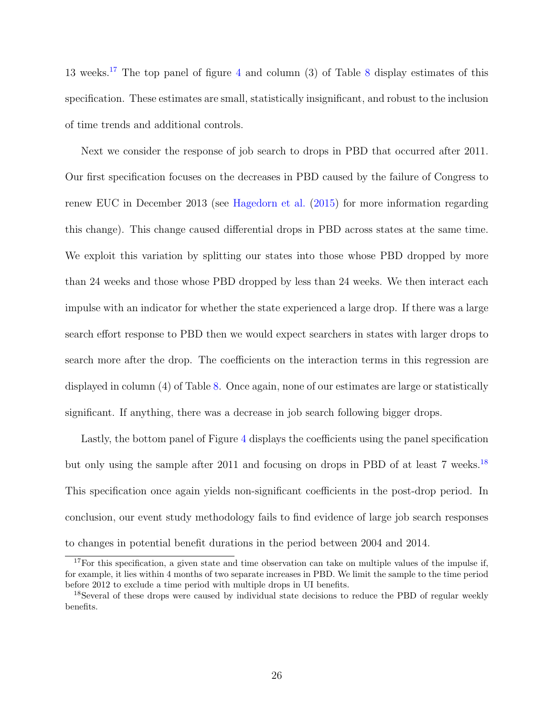13 weeks.[17](#page-0-0) The top panel of figure [4](#page-33-0) and column (3) of Table [8](#page-41-0) display estimates of this specification. These estimates are small, statistically insignificant, and robust to the inclusion of time trends and additional controls.

Next we consider the response of job search to drops in PBD that occurred after 2011. Our first specification focuses on the decreases in PBD caused by the failure of Congress to renew EUC in December 2013 (see [Hagedorn et al.](#page-28-7) [\(2015\)](#page-28-7) for more information regarding this change). This change caused differential drops in PBD across states at the same time. We exploit this variation by splitting our states into those whose PBD dropped by more than 24 weeks and those whose PBD dropped by less than 24 weeks. We then interact each impulse with an indicator for whether the state experienced a large drop. If there was a large search effort response to PBD then we would expect searchers in states with larger drops to search more after the drop. The coefficients on the interaction terms in this regression are displayed in column (4) of Table [8.](#page-41-0) Once again, none of our estimates are large or statistically significant. If anything, there was a decrease in job search following bigger drops.

Lastly, the bottom panel of Figure [4](#page-33-0) displays the coefficients using the panel specification but only using the sample after 2011 and focusing on drops in PBD of at least 7 weeks.<sup>[18](#page-0-0)</sup> This specification once again yields non-significant coefficients in the post-drop period. In conclusion, our event study methodology fails to find evidence of large job search responses to changes in potential benefit durations in the period between 2004 and 2014.

 $17$ For this specification, a given state and time observation can take on multiple values of the impulse if, for example, it lies within 4 months of two separate increases in PBD. We limit the sample to the time period before 2012 to exclude a time period with multiple drops in UI benefits.

<sup>&</sup>lt;sup>18</sup>Several of these drops were caused by individual state decisions to reduce the PBD of regular weekly benefits.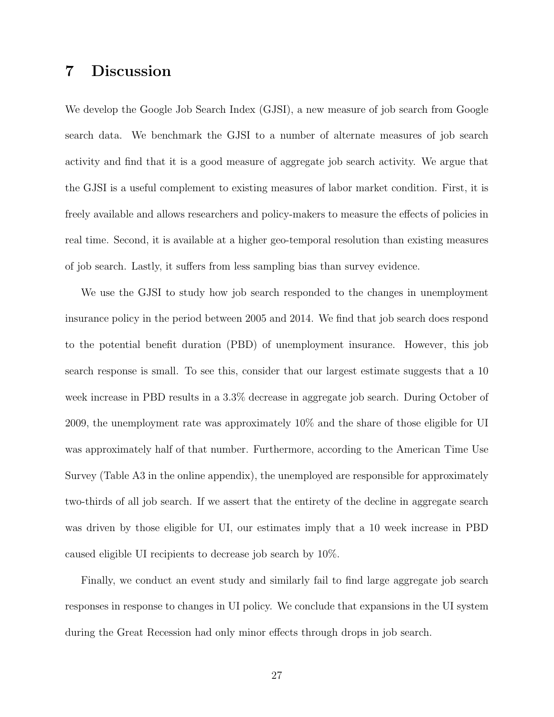## 7 Discussion

We develop the Google Job Search Index (GJSI), a new measure of job search from Google search data. We benchmark the GJSI to a number of alternate measures of job search activity and find that it is a good measure of aggregate job search activity. We argue that the GJSI is a useful complement to existing measures of labor market condition. First, it is freely available and allows researchers and policy-makers to measure the effects of policies in real time. Second, it is available at a higher geo-temporal resolution than existing measures of job search. Lastly, it suffers from less sampling bias than survey evidence.

We use the GJSI to study how job search responded to the changes in unemployment insurance policy in the period between 2005 and 2014. We find that job search does respond to the potential benefit duration (PBD) of unemployment insurance. However, this job search response is small. To see this, consider that our largest estimate suggests that a 10 week increase in PBD results in a 3.3% decrease in aggregate job search. During October of 2009, the unemployment rate was approximately 10% and the share of those eligible for UI was approximately half of that number. Furthermore, according to the American Time Use Survey (Table A3 in the online appendix), the unemployed are responsible for approximately two-thirds of all job search. If we assert that the entirety of the decline in aggregate search was driven by those eligible for UI, our estimates imply that a 10 week increase in PBD caused eligible UI recipients to decrease job search by 10%.

Finally, we conduct an event study and similarly fail to find large aggregate job search responses in response to changes in UI policy. We conclude that expansions in the UI system during the Great Recession had only minor effects through drops in job search.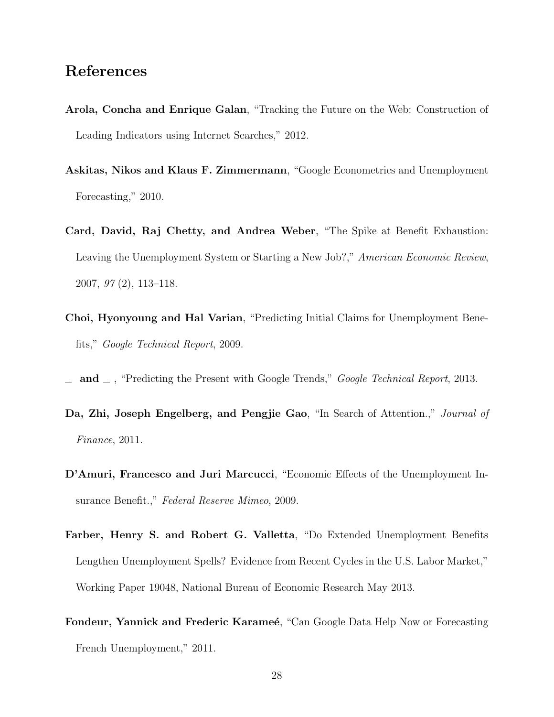## References

- <span id="page-27-7"></span>Arola, Concha and Enrique Galan, "Tracking the Future on the Web: Construction of Leading Indicators using Internet Searches," 2012.
- <span id="page-27-6"></span>Askitas, Nikos and Klaus F. Zimmermann, "Google Econometrics and Unemployment Forecasting," 2010.
- <span id="page-27-3"></span>Card, David, Raj Chetty, and Andrea Weber, "The Spike at Benefit Exhaustion: Leaving the Unemployment System or Starting a New Job?," American Economic Review, 2007, 97 (2), 113–118.
- <span id="page-27-1"></span>Choi, Hyonyoung and Hal Varian, "Predicting Initial Claims for Unemployment Benefits," Google Technical Report, 2009.
- <span id="page-27-8"></span><span id="page-27-2"></span>and  $\Box$ , "Predicting the Present with Google Trends," *Google Technical Report*, 2013.
- Da, Zhi, Joseph Engelberg, and Pengjie Gao, "In Search of Attention.," Journal of Finance, 2011.
- <span id="page-27-4"></span>D'Amuri, Francesco and Juri Marcucci, "Economic Effects of the Unemployment Insurance Benefit.," Federal Reserve Mimeo, 2009.
- <span id="page-27-0"></span>Farber, Henry S. and Robert G. Valletta, "Do Extended Unemployment Benefits Lengthen Unemployment Spells? Evidence from Recent Cycles in the U.S. Labor Market," Working Paper 19048, National Bureau of Economic Research May 2013.
- <span id="page-27-5"></span>Fondeur, Yannick and Frederic Karameé, "Can Google Data Help Now or Forecasting French Unemployment," 2011.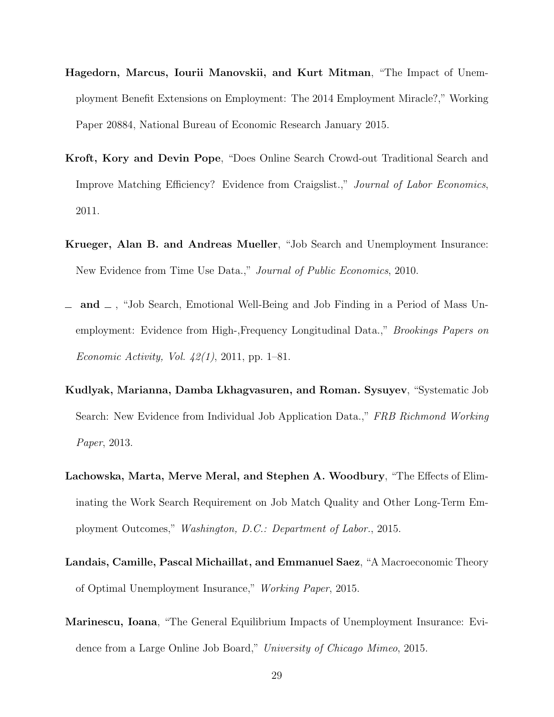- <span id="page-28-7"></span>Hagedorn, Marcus, Iourii Manovskii, and Kurt Mitman, "The Impact of Unemployment Benefit Extensions on Employment: The 2014 Employment Miracle?," Working Paper 20884, National Bureau of Economic Research January 2015.
- <span id="page-28-6"></span>Kroft, Kory and Devin Pope, "Does Online Search Crowd-out Traditional Search and Improve Matching Efficiency? Evidence from Craigslist.," Journal of Labor Economics, 2011.
- <span id="page-28-4"></span>Krueger, Alan B. and Andreas Mueller, "Job Search and Unemployment Insurance: New Evidence from Time Use Data.," Journal of Public Economics, 2010.
- <span id="page-28-5"></span>and  $\Box$ , "Job Search, Emotional Well-Being and Job Finding in a Period of Mass Unemployment: Evidence from High-, Frequency Longitudinal Data.," Brookings Papers on Economic Activity, Vol.  $42(1)$ , 2011, pp. 1–81.
- <span id="page-28-3"></span>Kudlyak, Marianna, Damba Lkhagvasuren, and Roman. Sysuyev, "Systematic Job Search: New Evidence from Individual Job Application Data.," FRB Richmond Working Paper, 2013.
- <span id="page-28-1"></span>Lachowska, Marta, Merve Meral, and Stephen A. Woodbury, "The Effects of Eliminating the Work Search Requirement on Job Match Quality and Other Long-Term Employment Outcomes," Washington, D.C.: Department of Labor., 2015.
- <span id="page-28-0"></span>Landais, Camille, Pascal Michaillat, and Emmanuel Saez, "A Macroeconomic Theory of Optimal Unemployment Insurance," Working Paper, 2015.
- <span id="page-28-2"></span>Marinescu, Ioana, "The General Equilibrium Impacts of Unemployment Insurance: Evidence from a Large Online Job Board," University of Chicago Mimeo, 2015.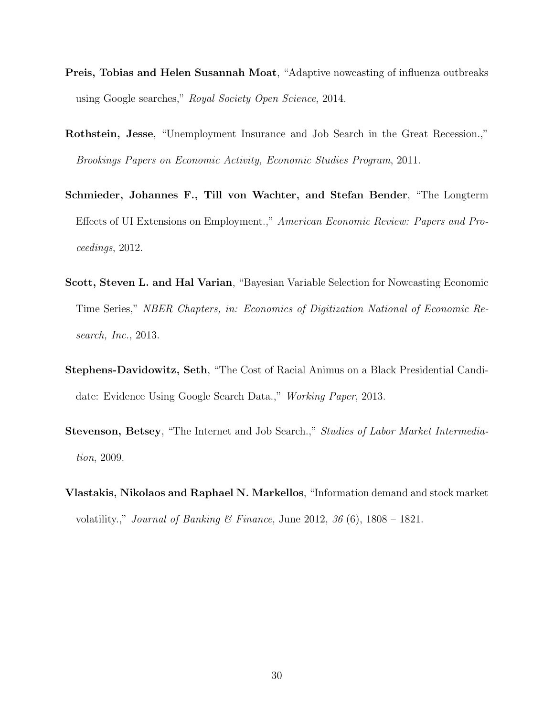- <span id="page-29-3"></span>Preis, Tobias and Helen Susannah Moat, "Adaptive nowcasting of influenza outbreaks using Google searches," Royal Society Open Science, 2014.
- <span id="page-29-0"></span>Rothstein, Jesse, "Unemployment Insurance and Job Search in the Great Recession.," Brookings Papers on Economic Activity, Economic Studies Program, 2011.
- <span id="page-29-1"></span>Schmieder, Johannes F., Till von Wachter, and Stefan Bender, "The Longterm Effects of UI Extensions on Employment.," American Economic Review: Papers and Proceedings, 2012.
- <span id="page-29-5"></span>Scott, Steven L. and Hal Varian, "Bayesian Variable Selection for Nowcasting Economic Time Series," NBER Chapters, in: Economics of Digitization National of Economic Research, Inc., 2013.
- <span id="page-29-4"></span>Stephens-Davidowitz, Seth, "The Cost of Racial Animus on a Black Presidential Candidate: Evidence Using Google Search Data.," Working Paper, 2013.
- <span id="page-29-6"></span>Stevenson, Betsey, "The Internet and Job Search.," Studies of Labor Market Intermediation, 2009.
- <span id="page-29-2"></span>Vlastakis, Nikolaos and Raphael N. Markellos, "Information demand and stock market volatility.," Journal of Banking & Finance, June 2012, 36 (6),  $1808 - 1821$ .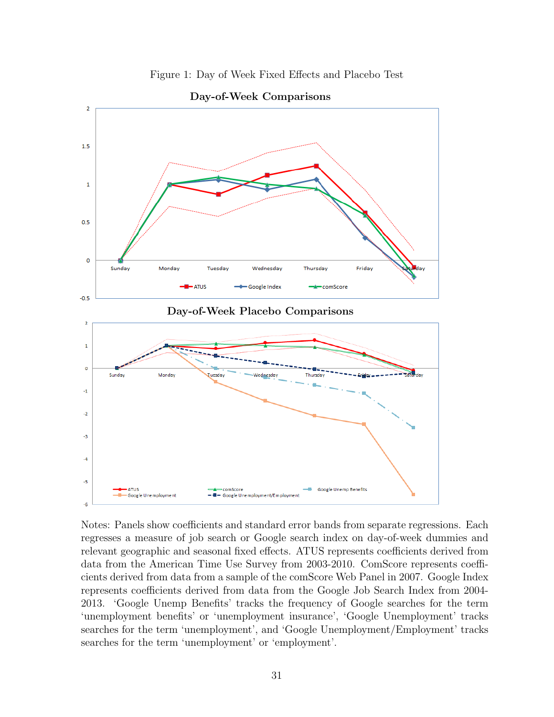<span id="page-30-0"></span>

Figure 1: Day of Week Fixed Effects and Placebo Test

Notes: Panels show coefficients and standard error bands from separate regressions. Each regresses a measure of job search or Google search index on day-of-week dummies and relevant geographic and seasonal fixed effects. ATUS represents coefficients derived from data from the American Time Use Survey from 2003-2010. ComScore represents coefficients derived from data from a sample of the comScore Web Panel in 2007. Google Index represents coefficients derived from data from the Google Job Search Index from 2004- 2013. 'Google Unemp Benefits' tracks the frequency of Google searches for the term 'unemployment benefits' or 'unemployment insurance', 'Google Unemployment' tracks searches for the term 'unemployment', and 'Google Unemployment/Employment' tracks searches for the term 'unemployment' or 'employment'.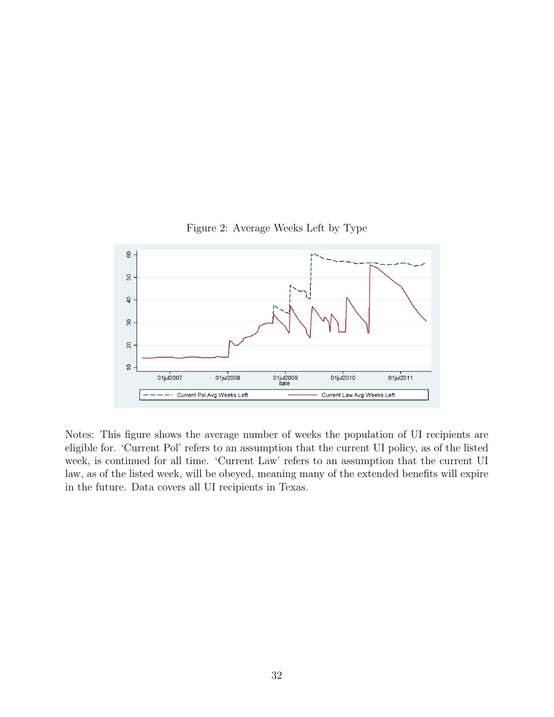

Figure 2: Average Weeks Left by Type

Notes: This figure shows the average number of weeks the population of UI recipients are eligible for. 'Current Pol' refers to an assumption that the current UI policy, as of the listed week, is continued for all time. 'Current Law' refers to an assumption that the current UI law, as of the listed week, will be obeyed, meaning many of the extended benefits will expire in the future. Data covers all UI recipients in Texas.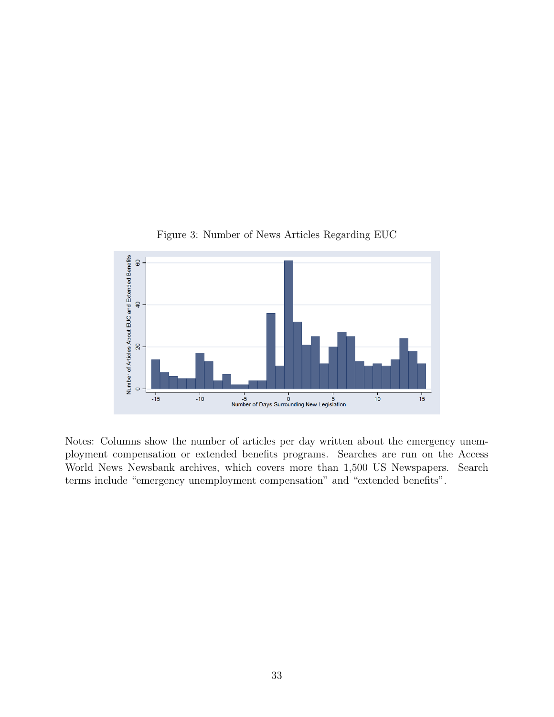<span id="page-32-0"></span>

Figure 3: Number of News Articles Regarding EUC

Notes: Columns show the number of articles per day written about the emergency unemployment compensation or extended benefits programs. Searches are run on the Access World News Newsbank archives, which covers more than 1,500 US Newspapers. Search terms include "emergency unemployment compensation" and "extended benefits".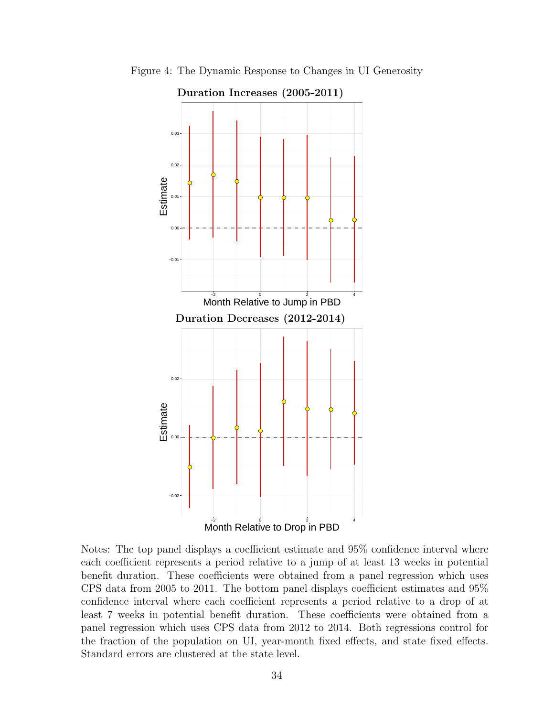

<span id="page-33-0"></span>Figure 4: The Dynamic Response to Changes in UI Generosity

Notes: The top panel displays a coefficient estimate and 95% confidence interval where each coefficient represents a period relative to a jump of at least 13 weeks in potential benefit duration. These coefficients were obtained from a panel regression which uses CPS data from 2005 to 2011. The bottom panel displays coefficient estimates and 95% confidence interval where each coefficient represents a period relative to a drop of at least 7 weeks in potential benefit duration. These coefficients were obtained from a panel regression which uses CPS data from 2012 to 2014. Both regressions control for the fraction of the population on UI, year-month fixed effects, and state fixed effects. Standard errors are clustered at the state level.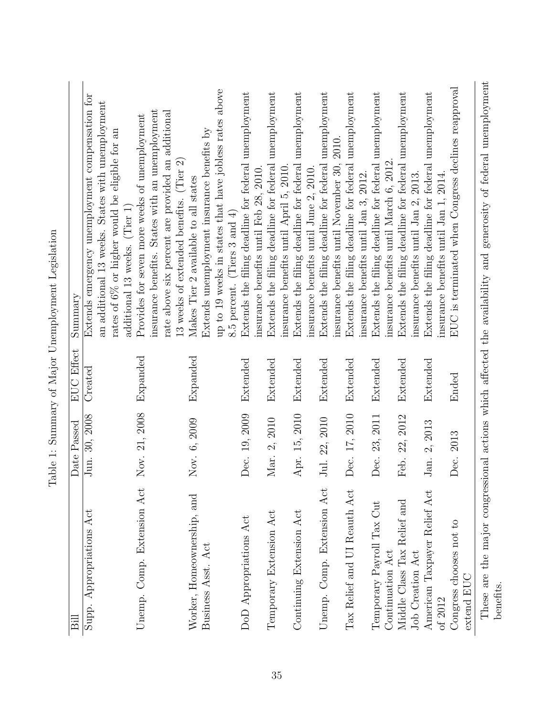<span id="page-34-0"></span>

| Bill                         |               | <b>EUC Effect</b> |                                                                                                                  |
|------------------------------|---------------|-------------------|------------------------------------------------------------------------------------------------------------------|
|                              | Date Passed   |                   | Summary                                                                                                          |
| Supp. Appropriations Act     | Jun. 30, 2008 | $\rm{Created}$    | Extends emergency unemployment compensation for                                                                  |
|                              |               |                   | an additional 13 weeks. States with unemployment                                                                 |
|                              |               |                   | rates of $6\%$ or higher would be eligible for an                                                                |
|                              |               |                   | additional 13 weeks. (Tier 1)                                                                                    |
| Unemp. Comp. Extension Act   | Nov. 21, 2008 | Expanded          | Provides for seven more weeks of unemployment                                                                    |
|                              |               |                   | insurance benefits. States with an unemployment                                                                  |
|                              |               |                   | rate above six percent are provided an additional                                                                |
|                              |               |                   | 13 weeks of extended benefits. (Tier 2)                                                                          |
| Worker, Homeownership, and   | Nov. 6, 2009  | Expanded          | Makes Tier 2 available to all states                                                                             |
| Business Asst. Act           |               |                   | Extends unemployment insurance benefits by                                                                       |
|                              |               |                   | up to 19 weeks in states that have jobless rates above                                                           |
|                              |               |                   | 8.5 percent. (Tiers 3 and 4                                                                                      |
| DoD Appropriations Act       | Dec. 19, 2009 | Extended          | Extends the filing deadline for federal unemployment                                                             |
|                              |               |                   | insurance benefits until Feb 28, 2010                                                                            |
| Temporary Extension Act      | Mar. 2, 2010  | Extended          | Extends the filing deadline for federal unemployment                                                             |
|                              |               |                   | insurance benefits until April 5, 2010.                                                                          |
| Continuing Extension Act     | Apr. 15, 2010 | Extended          | Extends the filing deadline for federal unemployment                                                             |
|                              |               |                   | insurance benefits until June 2, $2010\,$                                                                        |
| Unemp. Comp. Extension Act   | Jul. 22, 2010 | Extended          | Extends the filing deadline for federal unemployment                                                             |
|                              |               |                   | insurance benefits until November 30, 2010                                                                       |
| Tax Relief and UI Reauth Act | Dec. 17, 2010 | Extended          | Extends the filing deadline for federal unemployment                                                             |
|                              |               |                   | insurance benefits until Jan 3, $2012\,$                                                                         |
| Temporary Payroll Tax Cut    | Dec. 23, 2011 | Extended          | Extends the filing deadline for federal unemployment                                                             |
| Continuation Act             |               |                   | insurance benefits until March 6, 2012                                                                           |
| Middle Class Tax Relief and  | Feb. 22, 2012 | Extended          | Extends the filing deadline for federal unemployment                                                             |
| Job Creation Act             |               |                   | insurance benefits until Jan 2, 2013.                                                                            |
| American Taxpayer Relief Act | Jan. 2, 2013  | Extended          | Extends the filing deadline for federal unemployment                                                             |
| of 2012                      |               |                   | insurance benefits until Jan 1, 2014                                                                             |
| Congress chooses not to      | Dec. 2013     | Ended             | $EUC$ is terminated when $Congress$ declines reapproval                                                          |
| extend EUC                   |               |                   |                                                                                                                  |
| benefits.                    |               |                   | These are the major congressional actions which affected the availability and generosity of federal unemployment |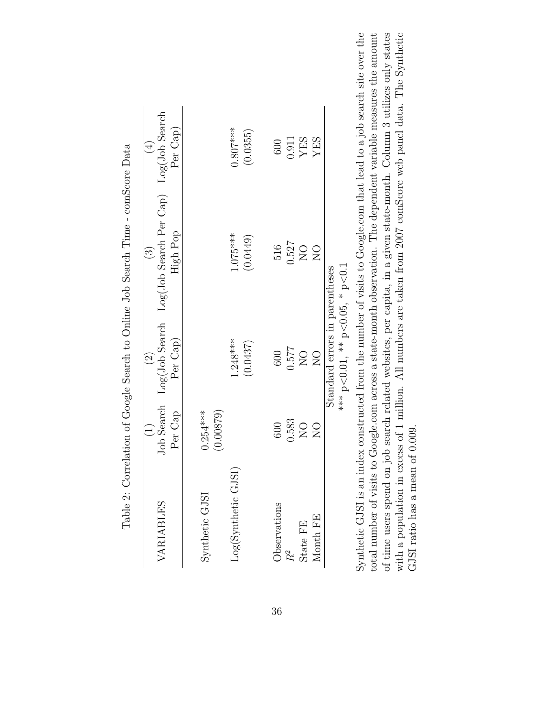<span id="page-35-0"></span>

Synthetic GJSI is an index constructed from the number of visits to Google.com that lead to a job search site over the total number of visits to Google.com across a state-month observation. The dependent variable measures the amount of time users spend on job search related websites, per capita, in a given state-month. Column 3 utilizes only states with a population in excess of 1 million. All numbers are taken from 2007 comScore web panel data. The Synthetic Synthetic GJSI is an index constructed from the number of visits to Google.com that lead to a job search site over the total number of visits to Google.com across a state-month observation. The dependent variable measures the amount of time users spend on job search related websites, per capita, in a given state-month. Column 3 utilizes only states with a population in excess of 1 million. All numbers are taken from 2007 comScore web panel data. The Synthetic GJSI ratio has a mean of  $0.009$ . GJSI ratio has a mean of 0.009.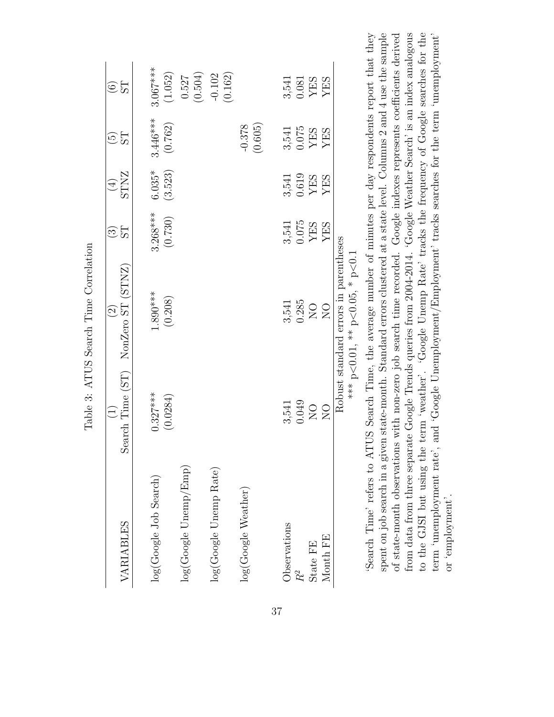| Search Time (ST) | NonZero ST (STNZ)<br>$\widehat{\Omega}$                                                     | <b>HS</b><br>$\widehat{\mathbb{G}}$ | <b>STNZ</b><br>$(\pm)$                                                                                   | 5h<br>$\widetilde{\mathfrak{G}}$ | <b>FS</b><br>$\widehat{\odot}$                                                                                                                                                                                                                                                                                                                                                                                                                        |
|------------------|---------------------------------------------------------------------------------------------|-------------------------------------|----------------------------------------------------------------------------------------------------------|----------------------------------|-------------------------------------------------------------------------------------------------------------------------------------------------------------------------------------------------------------------------------------------------------------------------------------------------------------------------------------------------------------------------------------------------------------------------------------------------------|
| $0.327***$       | $1.890***$                                                                                  | $3.268***$                          | $6.035*$                                                                                                 | $3.446***$                       | $3.067***$                                                                                                                                                                                                                                                                                                                                                                                                                                            |
|                  |                                                                                             |                                     |                                                                                                          |                                  | (1.052)<br>0.527                                                                                                                                                                                                                                                                                                                                                                                                                                      |
|                  |                                                                                             |                                     |                                                                                                          |                                  | (0.504)                                                                                                                                                                                                                                                                                                                                                                                                                                               |
|                  |                                                                                             |                                     |                                                                                                          |                                  | (0.162)<br>$-0.102$                                                                                                                                                                                                                                                                                                                                                                                                                                   |
|                  |                                                                                             |                                     |                                                                                                          | (0.605)<br>$-0.378$              |                                                                                                                                                                                                                                                                                                                                                                                                                                                       |
|                  |                                                                                             |                                     |                                                                                                          |                                  | 3,541                                                                                                                                                                                                                                                                                                                                                                                                                                                 |
|                  |                                                                                             |                                     |                                                                                                          |                                  | $0.081\,$                                                                                                                                                                                                                                                                                                                                                                                                                                             |
| $\sum_{i=1}^{n}$ | $\sum_{i=1}^{n}$                                                                            | <b>XES</b>                          | YES                                                                                                      | YES                              | YES                                                                                                                                                                                                                                                                                                                                                                                                                                                   |
| $\sum_{i=1}^{n}$ | $\sum_{i=1}^{n}$                                                                            | YES                                 | <b>AES</b>                                                                                               | YES                              | YES                                                                                                                                                                                                                                                                                                                                                                                                                                                   |
|                  |                                                                                             |                                     |                                                                                                          |                                  |                                                                                                                                                                                                                                                                                                                                                                                                                                                       |
|                  |                                                                                             |                                     |                                                                                                          |                                  |                                                                                                                                                                                                                                                                                                                                                                                                                                                       |
|                  |                                                                                             |                                     |                                                                                                          |                                  |                                                                                                                                                                                                                                                                                                                                                                                                                                                       |
|                  |                                                                                             |                                     |                                                                                                          |                                  |                                                                                                                                                                                                                                                                                                                                                                                                                                                       |
|                  | (0.0284)<br>0.049<br>3,541<br>spent on job search in a given<br>of state-month observations | (0.208)<br>0.285<br>3,541           | (0.730)<br>$0.075\,$<br>3,541<br>Robust standard errors in parentheses<br>*** p<0.01, ** p<0.05, * p<0.1 | (3.523)<br>0.619<br>3,541        | with non-zero job search time recorded. Google indexes represents coefficients derived<br>'Search Time' refers to ATUS Search Time, the average number of minutes per day respondents report that they<br>state-month. Standard errors clustered at a state level. Columns 2 and 4 use the sample<br>from data from three separate Google Trends queries from 2004-2014. 'Google Weather Search' is an index analogous<br>(0.762)<br>$0.075$<br>3,541 |

Table 3: ATUS Search Time Correlation Table 3: ATUS Search Time Correlation

<span id="page-36-0"></span>37

to the GJSI but using the term 'weather'. 'Google Unemp Rate' tracks the frequency of Google searches for the term 'unemployment rate', and 'Google Unemployment/Employment' tracks searches for the term 'unemployment' from data from three separate Google Trends queries from 2004-2014. 'Google Weather Search' is an index analogous to the GJSI but using the term 'weather'. 'Google Unemp Rate' tracks the frequency of Google searches for the term 'unemployment rate', and 'Google Unemployment/Employment' tracks searches for the term 'unemployment' or 'employment'. or 'employment'.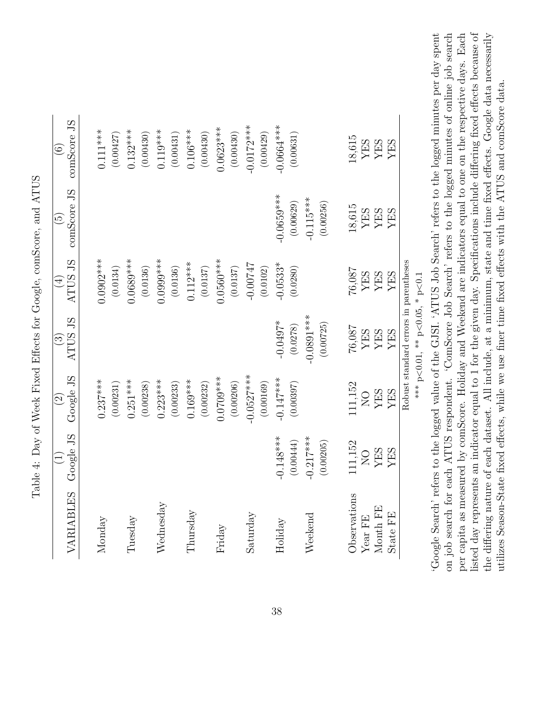| comScore JS<br>$\odot$                            | $0.111***$<br>(0.00427) | $0.132***$<br>(0.00430) | $0.119***$<br>$\left( 0.00431\right)$ | $0.106***$<br>(0.00430) | $0.0623***$<br>(0.00430) | $-0.0172***$<br>(0.00429) | $-0.0664***$<br>(0.00631) |                           | 18,615                                                               | <b>YES<br/>YES</b><br><b>YES</b> |                                       |
|---------------------------------------------------|-------------------------|-------------------------|---------------------------------------|-------------------------|--------------------------|---------------------------|---------------------------|---------------------------|----------------------------------------------------------------------|----------------------------------|---------------------------------------|
|                                                   |                         |                         |                                       |                         |                          |                           |                           |                           |                                                                      |                                  |                                       |
| comScore JS<br>$\widetilde{\mathfrak{G}}$         |                         |                         |                                       |                         |                          |                           | $-0.0659***$<br>(0.00629) | $-0.115***$<br>(0.00256)  | $\begin{array}{c} 18,615 \\ \text{YES} \\ \text{YES} \end{array}$    | YES                              |                                       |
| ATUS JS<br>$\bigoplus$                            | $0.0902***$<br>(0.0134) | $0.0689***$<br>(0.0136) | $0.0999***$<br>(0.0136)               | $0.112***$<br>(0.0137)  | $0.0560***$<br>(0.0137)  | $-0.00747$<br>(0.0102)    | $-0.0533*$<br>(0.0280)    |                           | $\frac{76,087}{\text{YES}}$                                          | YES<br>YES                       |                                       |
| Sſ<br><b>ATUS</b><br>$\left( \frac{3}{2} \right)$ |                         |                         |                                       |                         |                          |                           | $-0.0497*$<br>(0.0278)    | $-0.0891***$<br>(0.00725) | $\begin{array}{c} 76,087 \\ \text{YES} \\ \text{SCH} \\ \end{array}$ | <b>YES</b>                       | Robust standard errors in parentheses |
| Google JS<br>$\widehat{\Omega}$                   | $0.237***$<br>(0.00231) | $0.251***$<br>(0.00238) | $0.223***$<br>(0.00233)               | $0.169***$<br>(0.00232) | $0.0709***$<br>(0.00206) | $-0.0527***$<br>(0.00169) | $-0.147***$<br>(0.00397)  |                           | 111,152<br>$\overline{Q}$                                            | <b>AHRS</b><br>YES               |                                       |
| Google JS                                         |                         |                         |                                       |                         |                          |                           | $-0.148***$<br>(0.00444)  | $-0.217***$<br>(0.00205)  | 111,152<br>$\rm _{N}^{\rm O}$                                        | <b>SHA</b><br><b>SHA</b>         |                                       |
| VARIABLES                                         | Monday                  | Tuesday                 | Wednesday                             | ${\rm Thursday}$        | Friday                   | Saturday                  | Holiday                   | Weekend                   | Observations<br>Year FE                                              | Month FE<br>State FE             |                                       |

<span id="page-37-0"></span>Table 4: Day of Week Fixed Effects for Google, comScore, and ATUS Table 4: Day of Week Fixed Effects for Google, comScore, and ATUS

on job search for each ATUS respondent. 'ComScore Job Search' refers to the logged minutes of online job search listed day represents an indicator equal to 1 for the given day. Specifications include differing fixed effects because of the differing nature of each dataset. All include, at a minimum, state and time fixed effects. Google data necessarily 'Google Search' refers to the logged value of the GJSI. 'ATUS Job Search' refers to the logged minutes per day spent per capita as measured by comScore. Holiday and Weekend are indicators equal to one on the respective days. Each listed day represents an indicator equal to 1 for the given day. Specifications include differing fixed effects because of 'Google Search' refers to the logged value of the GJSI. 'ATUS Job Search' refers to the logged minutes per day spent on job search for each ATUS respondent. 'ComScore Job Search' refers to the logged minutes of online job search per capita as measured by comScore. Holiday and Weekend are indicators equal to one on the respective days. Each the differing nature of each dataset. All include, at a minimum, state and time fixed effects. Google data necessarily utilizes Season-State fixed effects, while we use finer time fixed effects with the ATUS and comScore data. utilizes Season-State fixed effects, while we use finer time fixed effects with the ATUS and comScore data.

 $\mathop{\rm A}\limits_{\ast\atop \ast\atop \ast\atop \ast}$ 

 $< 0.01$ , \*\* p.

 $< 0.05, * p$ 

 $\overline{\textrm{C}}$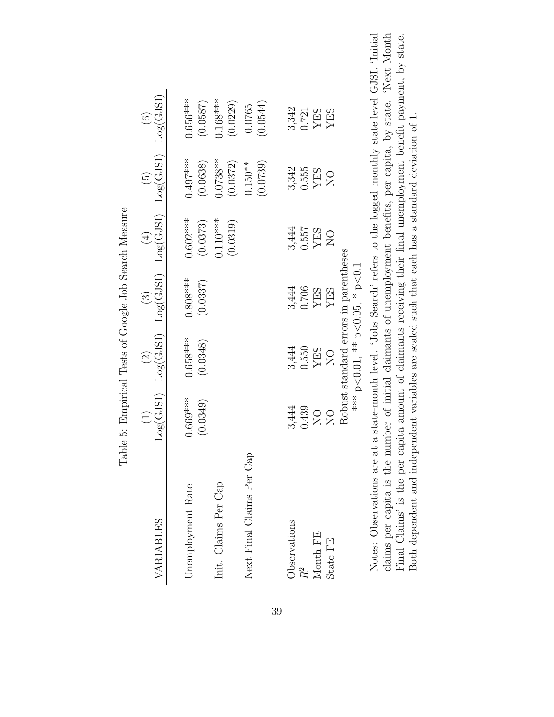| VARIABLES                 | Log(GJSI)        | Log(GJSI)<br>$\widehat{\mathfrak{S}}$ | Log(GJSI)<br>$\widehat{\mathbb{C}}$                                                   | Log(GJSI)<br>$(\pm)$   | Log(GJSI)<br>$\widetilde{\mathbb{G}}$ | Log(GJSI)<br>$\widehat{\odot}$                                                           |  |
|---------------------------|------------------|---------------------------------------|---------------------------------------------------------------------------------------|------------------------|---------------------------------------|------------------------------------------------------------------------------------------|--|
| Unemployment Rate         | $0.669***$       | $0.658***$                            | $0.808***$                                                                            | $0.602***$             | $0.497***$                            | $0.656***$                                                                               |  |
|                           | (0.0349)         | (0.0348)                              | (0.0337)                                                                              | (0.0373)               | (0.0638)                              | (0.0587)                                                                                 |  |
| Init. Claims Per Cap      |                  |                                       |                                                                                       | $0.110***$<br>(0.0319) | $0.0738**$<br>(0.0372)                | $0.168***$<br>(0.0229)                                                                   |  |
| Next Final Claims Per Cap |                  |                                       |                                                                                       |                        | $0.150***$                            | 0.0765                                                                                   |  |
|                           |                  |                                       |                                                                                       |                        | (0.0739)                              | (0.0544)                                                                                 |  |
| Observations              | 3,444            | 3,444                                 | 3,444                                                                                 | 3,444                  | 3,342                                 | 3,342                                                                                    |  |
| $R^2$                     | 0.439            | 0.550                                 | 0.706                                                                                 | 0.557                  | 0.555                                 | $0.721\,$                                                                                |  |
| Month ${\rm FE}$          | $\sum_{i=1}^{n}$ | <b>YES</b>                            | <b>XES</b>                                                                            | YES                    | YES                                   | YES                                                                                      |  |
| State FE                  | $\overline{C}$   | $\overline{N}$                        | YES                                                                                   | $\sum_{i=1}^{n}$       | $\sum_{i=1}^{n}$                      | <b>XES</b>                                                                               |  |
|                           |                  |                                       | Robust standard errors in parentheses<br>*** $p < 0.01$ , ** $p < 0.05$ , * $p < 0.1$ |                        |                                       |                                                                                          |  |
| Notes: Observations are   |                  |                                       |                                                                                       |                        |                                       | at a state-month level. 'Jobs Search' refers to the logged monthly state level GJSL. 'I. |  |

<span id="page-38-0"></span>Table 5: Empirical Tests of Google Job Search Measure Table 5: Empirical Tests of Google Job Search Measure

Initial claims per capita is the number of initial claimants of unemployment benefits, per capita, by state. 'Next Month Final Claims' is the per capita amount of claimants receiving their final unemployment benefit payment, by state. Notes: Observations are at a state-month level. 'Jobs Search' refers to the logged monthly state level GJSI. 'Initial claims per capita is the number of initial claimants of unemployment benefits, per capita, by state. 'Next Month Final Claims' is the per capita amount of claimants receiving their final unemployment benefit payment, by state. Both dependent and independent variables are scaled such that each has a standard deviation of 1. Both dependent and independent variables are scaled such that each has a standard deviation of 1.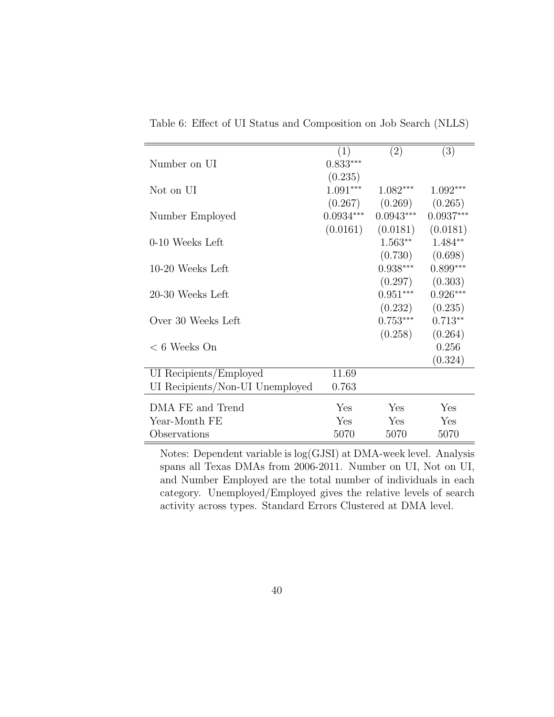<span id="page-39-0"></span>

|                                 | (1)         | (2)         | (3)         |
|---------------------------------|-------------|-------------|-------------|
| Number on UI                    | $0.833***$  |             |             |
|                                 | (0.235)     |             |             |
| Not on UI                       | $1.091***$  | $1.082***$  | $1.092***$  |
|                                 | (0.267)     | (0.269)     | (0.265)     |
| Number Employed                 | $0.0934***$ | $0.0943***$ | $0.0937***$ |
|                                 | (0.0161)    | (0.0181)    | (0.0181)    |
| 0-10 Weeks Left                 |             | $1.563**$   | $1.484**$   |
|                                 |             | (0.730)     | (0.698)     |
| 10-20 Weeks Left                |             | $0.938***$  | $0.899***$  |
|                                 |             |             |             |
|                                 |             | (0.297)     | (0.303)     |
| 20-30 Weeks Left                |             | $0.951***$  | $0.926***$  |
|                                 |             | (0.232)     | (0.235)     |
| Over 30 Weeks Left              |             | $0.753***$  | $0.713**$   |
|                                 |             | (0.258)     | (0.264)     |
| $< 6$ Weeks On                  |             |             | 0.256       |
|                                 |             |             | (0.324)     |
| UI Recipients/Employed          | 11.69       |             |             |
| UI Recipients/Non-UI Unemployed | 0.763       |             |             |
| DMA FE and Trend                | Yes         | Yes         | Yes         |
| Year-Month FE                   | Yes         | Yes         | Yes         |
| Observations                    | 5070        | 5070        | 5070        |
|                                 |             |             |             |

Table 6: Effect of UI Status and Composition on Job Search (NLLS)

Notes: Dependent variable is log(GJSI) at DMA-week level. Analysis spans all Texas DMAs from 2006-2011. Number on UI, Not on UI, and Number Employed are the total number of individuals in each category. Unemployed/Employed gives the relative levels of search activity across types. Standard Errors Clustered at DMA level.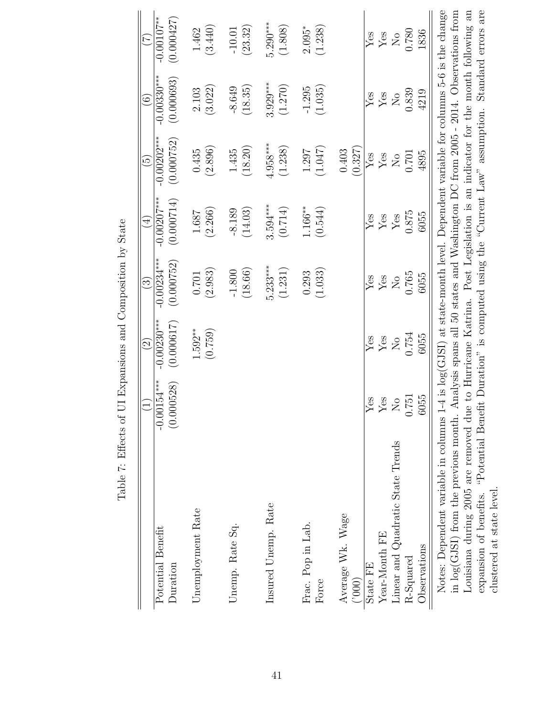<span id="page-40-0"></span>

|                                                                                                                         |                                                                              | $\widehat{\odot}$           | $\widehat{\mathbb{S}}$        | $\widehat{\pm}$             | $\widetilde{\Theta}$        | $\widehat{\odot}$                                                                            | Ę                           |
|-------------------------------------------------------------------------------------------------------------------------|------------------------------------------------------------------------------|-----------------------------|-------------------------------|-----------------------------|-----------------------------|----------------------------------------------------------------------------------------------|-----------------------------|
| Potential Benefit<br>Duration                                                                                           | $-0.00154***$<br>(0.000528)                                                  | $-0.00230***$<br>(0.000617) | $-0.00234***$<br>(0.000752)   | $-0.00207***$<br>(0.000714) | $-0.00202***$<br>(0.000752) | $-0.00330***$<br>(0.000693)                                                                  | $-0.00107***$<br>(0.000427) |
| Unemployment Rate                                                                                                       |                                                                              | $1.592***$<br>(0.759)       | (2.983)<br>0.701              | (2.266)<br>1.687            | (2.896)<br>0.435            | (3.022)<br>2.103                                                                             | (3.440)<br>1.462            |
| Unemp. Rate Sq.                                                                                                         |                                                                              |                             | (18.66)<br>$-1.800$           | (14.03)<br>$-8.189$         | (18.20)<br>1.435            | $-8.649$<br>(18.35)                                                                          | (23.32)<br>$-10.01$         |
| Insured Unemp. Rate                                                                                                     |                                                                              |                             | $5.233***$<br>(1.231)         | $3.594***$<br>(0.714)       | $4.958***$<br>(1.238)       | $3.929***$<br>(1.270)                                                                        | $5.290***$<br>(1.808)       |
| Frac. Pop in Lab.<br>Force                                                                                              |                                                                              |                             | (1.033)<br>0.293              | 1.166**<br>(0.544)          | (1.047)<br>1.297            | (1.035)<br>$-1.295$                                                                          | (1.238)<br>$2.095*$         |
| Average Wk. Wage<br>(000)                                                                                               |                                                                              |                             |                               |                             | (0.327)<br>0.403            |                                                                                              |                             |
| State FE                                                                                                                | ${\rm Yes}$                                                                  | Yes                         | Yes                           | Yes                         | Yes                         | Yes                                                                                          | $Y$ es                      |
| Year-Month FE                                                                                                           | Yes                                                                          | ${\rm Yes}$                 | Yes                           | Yes                         | $\mathbf{Y}\mathbf{es}$     | $\operatorname{Yes}$                                                                         | ${\rm Yes}$                 |
| Linear and Quadratic State Trends                                                                                       | $\overline{R}$                                                               | $\overline{S}$              | $\overline{N}_{\overline{O}}$ | ${\rm Yes}$                 | $\rm \stackrel{\circ}{X}$   | $\rm \stackrel{\circ}{X}$                                                                    | $\overline{S}$              |
| R-Squared                                                                                                               | 0.751                                                                        | 0.754                       | 0.765                         | $0.875\,$                   | 0.701                       | 0.839                                                                                        | 0.780                       |
| Observations                                                                                                            | 550                                                                          | 6055                        | 6055                          | 6055                        | 4895                        | 4219                                                                                         | 1836                        |
| Notes: Dependent variable in columns                                                                                    |                                                                              |                             |                               |                             |                             | $1-4$ is $\log(GJST)$ at state-month level. Dependent variable for columns 5-6 is the change |                             |
| in $log(GJSI)$ from the previous month.                                                                                 |                                                                              |                             |                               |                             |                             | Analysis spans all 50 states and Washington DC from 2005 - 2014. Observations from           |                             |
| Louisiana during 2005 are removed due to Hurricane Katrina. Post Legislation is an indicator for the month following an |                                                                              |                             |                               |                             |                             |                                                                                              |                             |
| expansion of benefits.                                                                                                  | "Potential Benefit Duration" is computed using the "Current Law" assumption. |                             |                               |                             |                             |                                                                                              | Standard errors are         |
| clustered at state level.                                                                                               |                                                                              |                             |                               |                             |                             |                                                                                              |                             |

Table 7: Effects of UI Expansions and Composition by State Table 7: Effects of UI Expansions and Composition by State